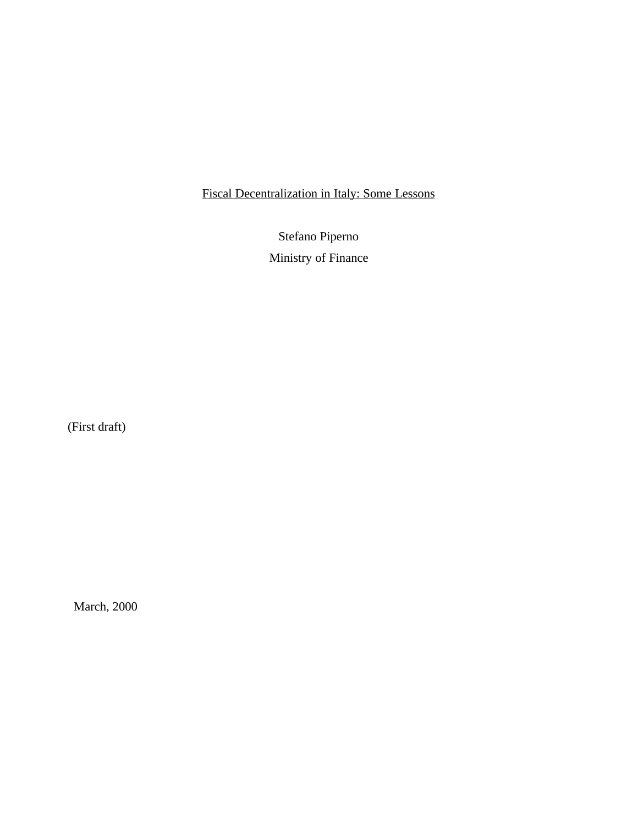# Fiscal Decentralization in Italy: Some Lessons

Stefano Piperno Ministry of Finance

(First draft)

March, 2000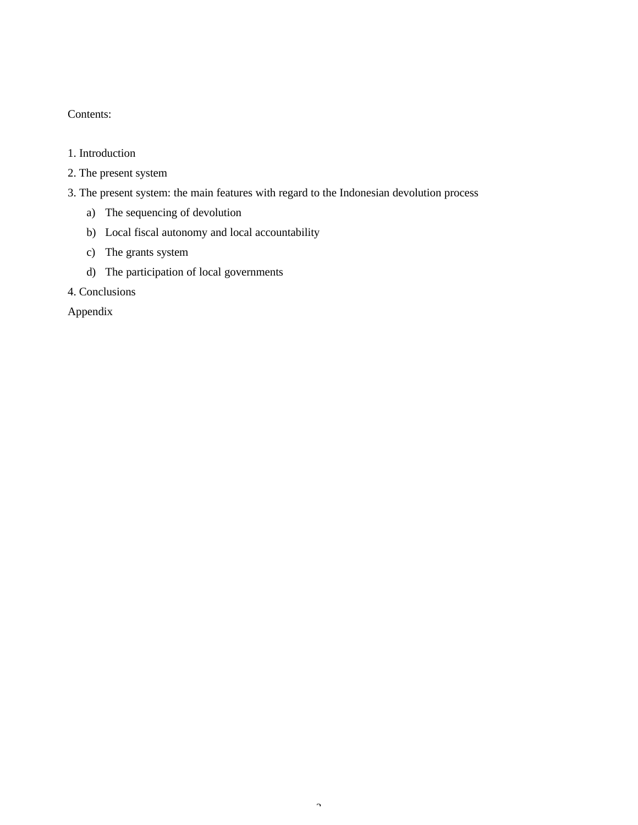# Contents:

## 1. Introduction

- 2. The present system
- 3. The present system: the main features with regard to the Indonesian devolution process
	- a) The sequencing of devolution
	- b) Local fiscal autonomy and local accountability
	- c) The grants system
	- d) The participation of local governments
- 4. Conclusions

Appendix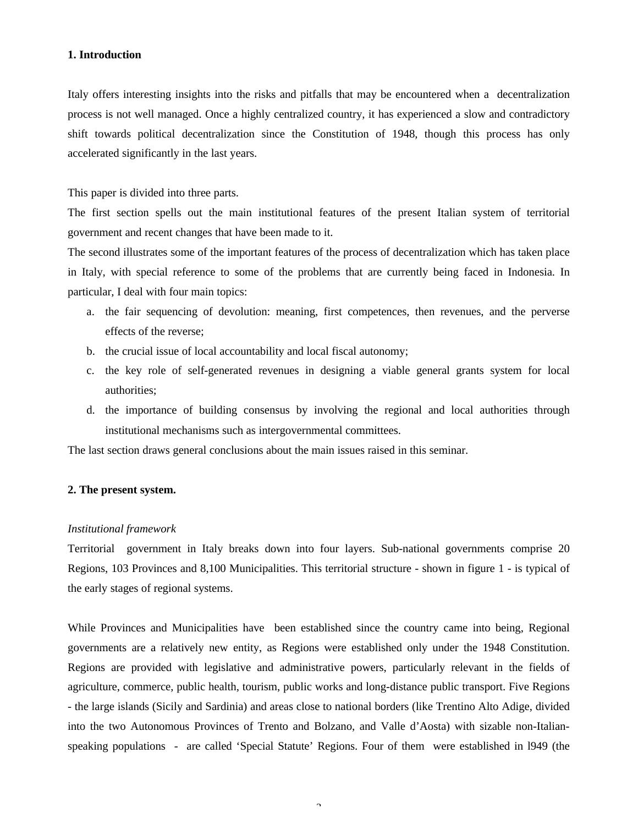#### **1. Introduction**

Italy offers interesting insights into the risks and pitfalls that may be encountered when a decentralization process is not well managed. Once a highly centralized country, it has experienced a slow and contradictory shift towards political decentralization since the Constitution of 1948, though this process has only accelerated significantly in the last years.

This paper is divided into three parts.

The first section spells out the main institutional features of the present Italian system of territorial government and recent changes that have been made to it.

The second illustrates some of the important features of the process of decentralization which has taken place in Italy, with special reference to some of the problems that are currently being faced in Indonesia. In particular, I deal with four main topics:

- a. the fair sequencing of devolution: meaning, first competences, then revenues, and the perverse effects of the reverse;
- b. the crucial issue of local accountability and local fiscal autonomy;
- c. the key role of self-generated revenues in designing a viable general grants system for local authorities;
- d. the importance of building consensus by involving the regional and local authorities through institutional mechanisms such as intergovernmental committees.

The last section draws general conclusions about the main issues raised in this seminar.

## **2. The present system.**

#### *Institutional framework*

Territorial government in Italy breaks down into four layers. Sub-national governments comprise 20 Regions, 103 Provinces and 8,100 Municipalities. This territorial structure - shown in figure 1 - is typical of the early stages of regional systems.

While Provinces and Municipalities have been established since the country came into being, Regional governments are a relatively new entity, as Regions were established only under the 1948 Constitution. Regions are provided with legislative and administrative powers, particularly relevant in the fields of agriculture, commerce, public health, tourism, public works and long-distance public transport. Five Regions - the large islands (Sicily and Sardinia) and areas close to national borders (like Trentino Alto Adige, divided into the two Autonomous Provinces of Trento and Bolzano, and Valle d'Aosta) with sizable non-Italianspeaking populations - are called 'Special Statute' Regions. Four of them were established in l949 (the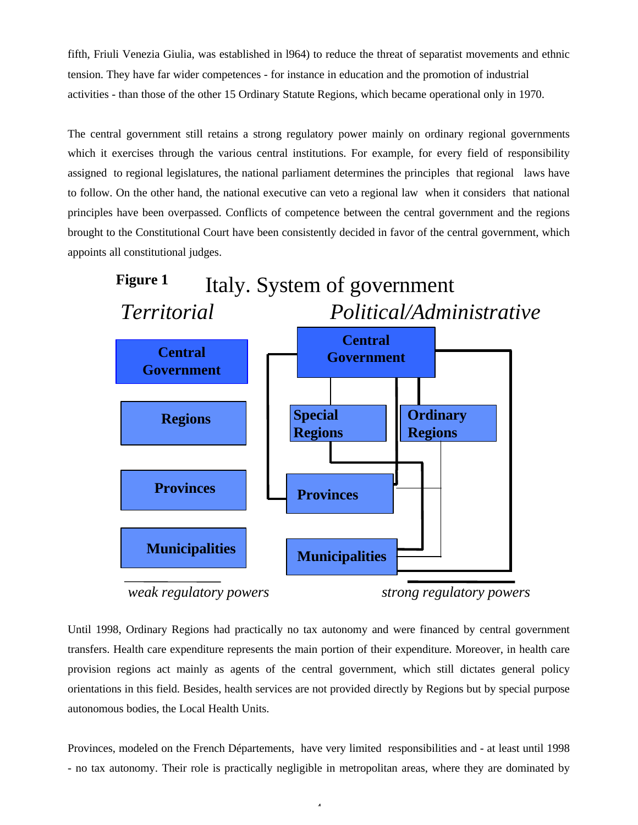fifth, Friuli Venezia Giulia, was established in l964) to reduce the threat of separatist movements and ethnic tension. They have far wider competences - for instance in education and the promotion of industrial activities - than those of the other 15 Ordinary Statute Regions, which became operational only in 1970.

The central government still retains a strong regulatory power mainly on ordinary regional governments which it exercises through the various central institutions. For example, for every field of responsibility assigned to regional legislatures, the national parliament determines the principles that regional laws have to follow. On the other hand, the national executive can veto a regional law when it considers that national principles have been overpassed. Conflicts of competence between the central government and the regions brought to the Constitutional Court have been consistently decided in favor of the central government, which appoints all constitutional judges.



*weak regulatory powers strong regulatory powers*

Until 1998, Ordinary Regions had practically no tax autonomy and were financed by central government transfers. Health care expenditure represents the main portion of their expenditure. Moreover, in health care provision regions act mainly as agents of the central government, which still dictates general policy orientations in this field. Besides, health services are not provided directly by Regions but by special purpose autonomous bodies, the Local Health Units.

Provinces, modeled on the French Départements, have very limited responsibilities and - at least until 1998 - no tax autonomy. Their role is practically negligible in metropolitan areas, where they are dominated by

 $\overline{a}$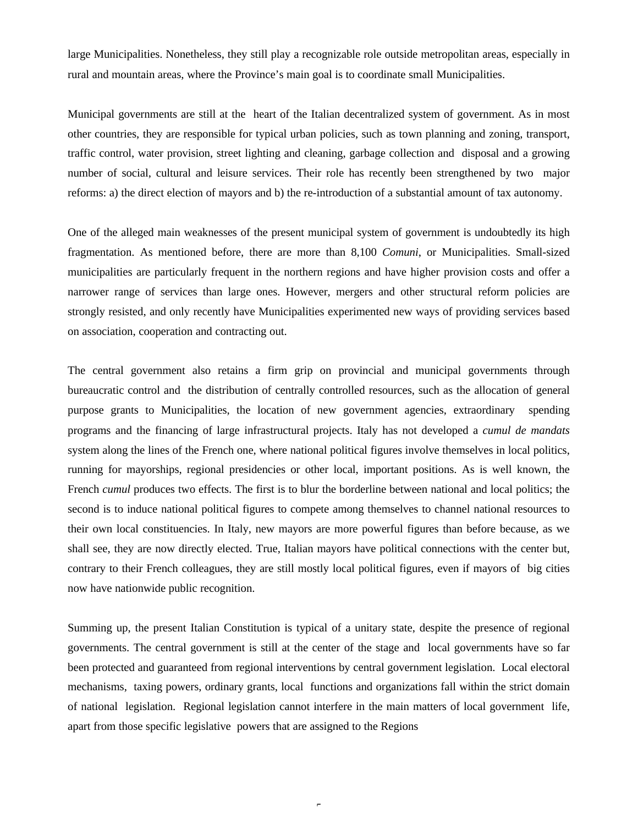large Municipalities. Nonetheless, they still play a recognizable role outside metropolitan areas, especially in rural and mountain areas, where the Province's main goal is to coordinate small Municipalities.

Municipal governments are still at the heart of the Italian decentralized system of government. As in most other countries, they are responsible for typical urban policies, such as town planning and zoning, transport, traffic control, water provision, street lighting and cleaning, garbage collection and disposal and a growing number of social, cultural and leisure services. Their role has recently been strengthened by two major reforms: a) the direct election of mayors and b) the re-introduction of a substantial amount of tax autonomy.

One of the alleged main weaknesses of the present municipal system of government is undoubtedly its high fragmentation. As mentioned before, there are more than 8,100 *Comuni*, or Municipalities. Small-sized municipalities are particularly frequent in the northern regions and have higher provision costs and offer a narrower range of services than large ones. However, mergers and other structural reform policies are strongly resisted, and only recently have Municipalities experimented new ways of providing services based on association, cooperation and contracting out.

The central government also retains a firm grip on provincial and municipal governments through bureaucratic control and the distribution of centrally controlled resources, such as the allocation of general purpose grants to Municipalities, the location of new government agencies, extraordinary spending programs and the financing of large infrastructural projects. Italy has not developed a *cumul de mandats* system along the lines of the French one, where national political figures involve themselves in local politics, running for mayorships, regional presidencies or other local, important positions. As is well known, the French *cumul* produces two effects. The first is to blur the borderline between national and local politics; the second is to induce national political figures to compete among themselves to channel national resources to their own local constituencies. In Italy, new mayors are more powerful figures than before because, as we shall see, they are now directly elected. True, Italian mayors have political connections with the center but, contrary to their French colleagues, they are still mostly local political figures, even if mayors of big cities now have nationwide public recognition.

Summing up, the present Italian Constitution is typical of a unitary state, despite the presence of regional governments. The central government is still at the center of the stage and local governments have so far been protected and guaranteed from regional interventions by central government legislation. Local electoral mechanisms, taxing powers, ordinary grants, local functions and organizations fall within the strict domain of national legislation. Regional legislation cannot interfere in the main matters of local government life, apart from those specific legislative powers that are assigned to the Regions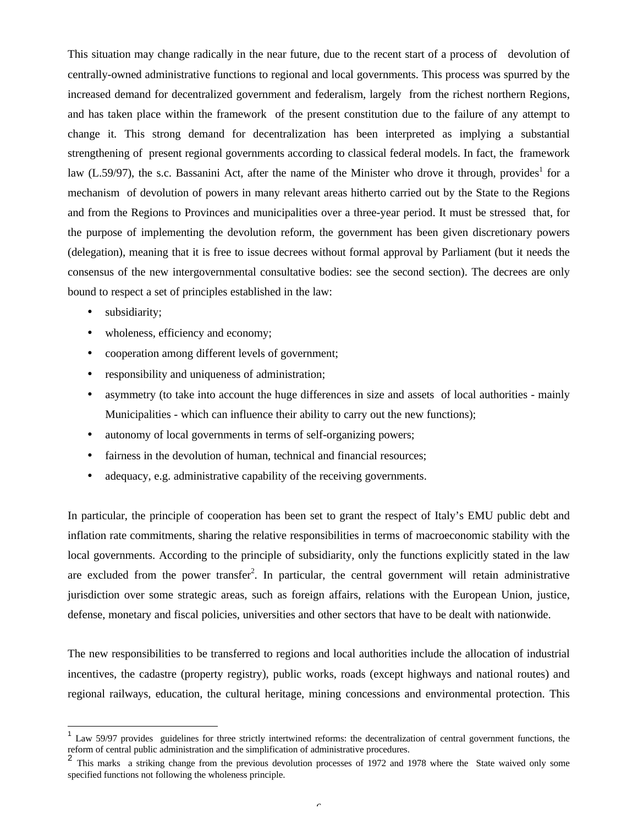This situation may change radically in the near future, due to the recent start of a process of devolution of centrally-owned administrative functions to regional and local governments. This process was spurred by the increased demand for decentralized government and federalism, largely from the richest northern Regions, and has taken place within the framework of the present constitution due to the failure of any attempt to change it. This strong demand for decentralization has been interpreted as implying a substantial strengthening of present regional governments according to classical federal models. In fact, the framework law (L.59/97), the s.c. Bassanini Act, after the name of the Minister who drove it through, provides<sup>1</sup> for a mechanism of devolution of powers in many relevant areas hitherto carried out by the State to the Regions and from the Regions to Provinces and municipalities over a three-year period. It must be stressed that, for the purpose of implementing the devolution reform, the government has been given discretionary powers (delegation), meaning that it is free to issue decrees without formal approval by Parliament (but it needs the consensus of the new intergovernmental consultative bodies: see the second section). The decrees are only bound to respect a set of principles established in the law:

• subsidiarity;

 $\overline{a}$ 

- wholeness, efficiency and economy;
- cooperation among different levels of government;
- responsibility and uniqueness of administration;
- asymmetry (to take into account the huge differences in size and assets of local authorities mainly Municipalities - which can influence their ability to carry out the new functions);
- autonomy of local governments in terms of self-organizing powers;
- fairness in the devolution of human, technical and financial resources;
- adequacy, e.g. administrative capability of the receiving governments.

In particular, the principle of cooperation has been set to grant the respect of Italy's EMU public debt and inflation rate commitments, sharing the relative responsibilities in terms of macroeconomic stability with the local governments. According to the principle of subsidiarity, only the functions explicitly stated in the law are excluded from the power transfer<sup>2</sup>. In particular, the central government will retain administrative jurisdiction over some strategic areas, such as foreign affairs, relations with the European Union, justice, defense, monetary and fiscal policies, universities and other sectors that have to be dealt with nationwide.

The new responsibilities to be transferred to regions and local authorities include the allocation of industrial incentives, the cadastre (property registry), public works, roads (except highways and national routes) and regional railways, education, the cultural heritage, mining concessions and environmental protection. This

<sup>1</sup> Law 59/97 provides guidelines for three strictly intertwined reforms: the decentralization of central government functions, the reform of central public administration and the simplification of administrative procedures.

<sup>2</sup> This marks a striking change from the previous devolution processes of 1972 and 1978 where the State waived only some specified functions not following the wholeness principle.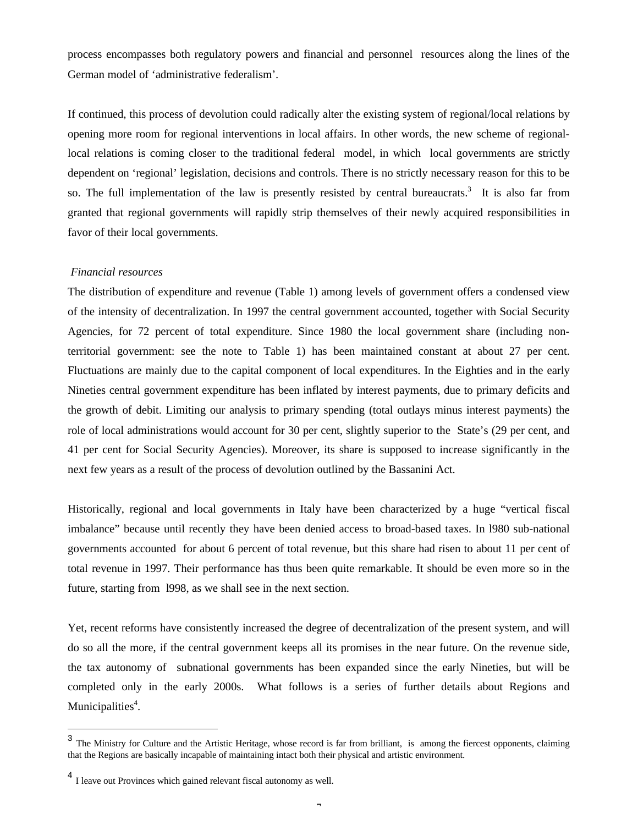process encompasses both regulatory powers and financial and personnel resources along the lines of the German model of 'administrative federalism'.

If continued, this process of devolution could radically alter the existing system of regional/local relations by opening more room for regional interventions in local affairs. In other words, the new scheme of regionallocal relations is coming closer to the traditional federal model, in which local governments are strictly dependent on 'regional' legislation, decisions and controls. There is no strictly necessary reason for this to be so. The full implementation of the law is presently resisted by central bureaucrats.<sup>3</sup> It is also far from granted that regional governments will rapidly strip themselves of their newly acquired responsibilities in favor of their local governments.

#### *Financial resources*

The distribution of expenditure and revenue (Table 1) among levels of government offers a condensed view of the intensity of decentralization. In 1997 the central government accounted, together with Social Security Agencies, for 72 percent of total expenditure. Since 1980 the local government share (including nonterritorial government: see the note to Table 1) has been maintained constant at about 27 per cent. Fluctuations are mainly due to the capital component of local expenditures. In the Eighties and in the early Nineties central government expenditure has been inflated by interest payments, due to primary deficits and the growth of debit. Limiting our analysis to primary spending (total outlays minus interest payments) the role of local administrations would account for 30 per cent, slightly superior to the State's (29 per cent, and 41 per cent for Social Security Agencies). Moreover, its share is supposed to increase significantly in the next few years as a result of the process of devolution outlined by the Bassanini Act.

Historically, regional and local governments in Italy have been characterized by a huge "vertical fiscal imbalance" because until recently they have been denied access to broad-based taxes. In l980 sub-national governments accounted for about 6 percent of total revenue, but this share had risen to about 11 per cent of total revenue in 1997. Their performance has thus been quite remarkable. It should be even more so in the future, starting from l998, as we shall see in the next section.

Yet, recent reforms have consistently increased the degree of decentralization of the present system, and will do so all the more, if the central government keeps all its promises in the near future. On the revenue side, the tax autonomy of subnational governments has been expanded since the early Nineties, but will be completed only in the early 2000s. What follows is a series of further details about Regions and Municipalities<sup>4</sup>.

<sup>&</sup>lt;sup>3</sup> The Ministry for Culture and the Artistic Heritage, whose record is far from brilliant, is among the fiercest opponents, claiming that the Regions are basically incapable of maintaining intact both their physical and artistic environment.

<sup>4</sup> I leave out Provinces which gained relevant fiscal autonomy as well.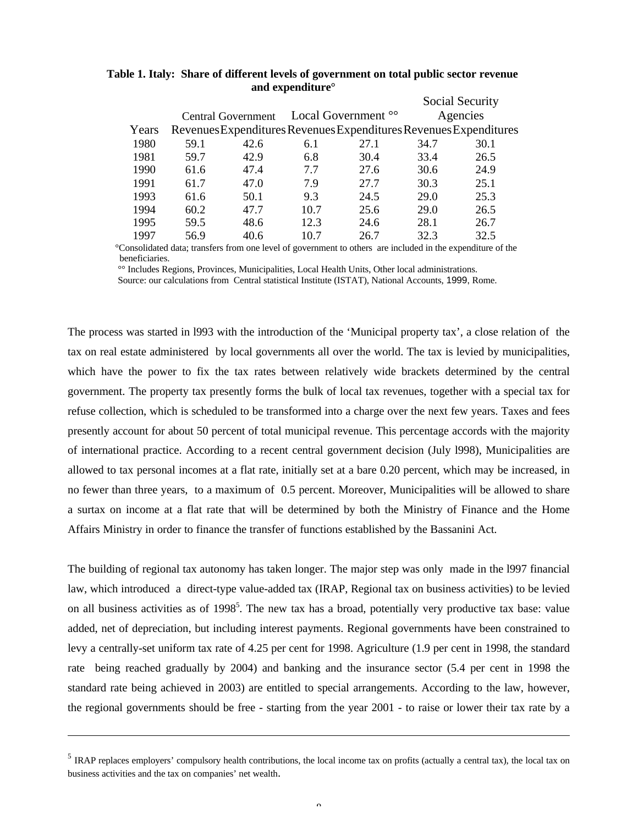|       |      |                           |      |                                                                   | Social Security |      |  |  |  |
|-------|------|---------------------------|------|-------------------------------------------------------------------|-----------------|------|--|--|--|
|       |      | <b>Central Government</b> |      | Local Government <sup>oo</sup>                                    | Agencies        |      |  |  |  |
| Years |      |                           |      | Revenues Expenditures Revenues Expenditures Revenues Expenditures |                 |      |  |  |  |
| 1980  | 59.1 | 42.6                      | 6.1  | 27.1                                                              | 34.7            | 30.1 |  |  |  |
| 1981  | 59.7 | 42.9                      | 6.8  | 30.4                                                              | 33.4            | 26.5 |  |  |  |
| 1990  | 61.6 | 47.4                      | 7.7  | 27.6                                                              | 30.6            | 24.9 |  |  |  |
| 1991  | 61.7 | 47.0                      | 7.9  | 27.7                                                              | 30.3            | 25.1 |  |  |  |
| 1993  | 61.6 | 50.1                      | 9.3  | 24.5                                                              | 29.0            | 25.3 |  |  |  |
| 1994  | 60.2 | 47.7                      | 10.7 | 25.6                                                              | 29.0            | 26.5 |  |  |  |
| 1995  | 59.5 | 48.6                      | 12.3 | 24.6                                                              | 28.1            | 26.7 |  |  |  |
| 1997  | 56.9 | 40.6                      | 10.7 | 26.7                                                              | 32.3            | 32.5 |  |  |  |

## **Table 1. Italy: Share of different levels of government on total public sector revenue and expenditure°**

 °Consolidated data; transfers from one level of government to others are included in the expenditure of the beneficiaries.

°° Includes Regions, Provinces, Municipalities, Local Health Units, Other local administrations.

Source: our calculations from Central statistical Institute (ISTAT), National Accounts, 1999, Rome.

The process was started in l993 with the introduction of the 'Municipal property tax', a close relation of the tax on real estate administered by local governments all over the world. The tax is levied by municipalities, which have the power to fix the tax rates between relatively wide brackets determined by the central government. The property tax presently forms the bulk of local tax revenues, together with a special tax for refuse collection, which is scheduled to be transformed into a charge over the next few years. Taxes and fees presently account for about 50 percent of total municipal revenue. This percentage accords with the majority of international practice. According to a recent central government decision (July l998), Municipalities are allowed to tax personal incomes at a flat rate, initially set at a bare 0.20 percent, which may be increased, in no fewer than three years, to a maximum of 0.5 percent. Moreover, Municipalities will be allowed to share a surtax on income at a flat rate that will be determined by both the Ministry of Finance and the Home Affairs Ministry in order to finance the transfer of functions established by the Bassanini Act.

The building of regional tax autonomy has taken longer. The major step was only made in the l997 financial law, which introduced a direct-type value-added tax (IRAP, Regional tax on business activities) to be levied on all business activities as of 1998<sup>5</sup>. The new tax has a broad, potentially very productive tax base: value added, net of depreciation, but including interest payments. Regional governments have been constrained to levy a centrally-set uniform tax rate of 4.25 per cent for 1998. Agriculture (1.9 per cent in 1998, the standard rate being reached gradually by 2004) and banking and the insurance sector (5.4 per cent in 1998 the standard rate being achieved in 2003) are entitled to special arrangements. According to the law, however, the regional governments should be free - starting from the year 2001 - to raise or lower their tax rate by a

l

<sup>&</sup>lt;sup>5</sup> IRAP replaces employers' compulsory health contributions, the local income tax on profits (actually a central tax), the local tax on business activities and the tax on companies' net wealth.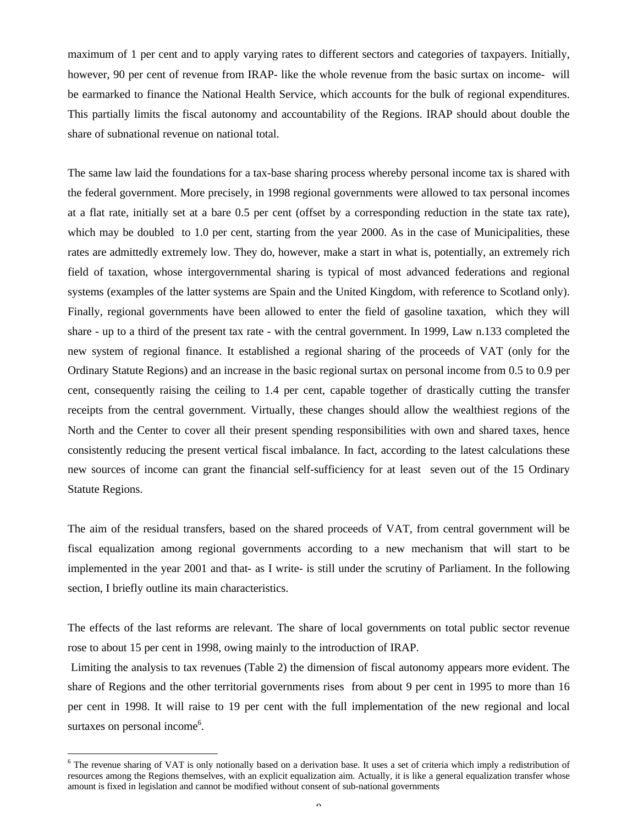maximum of 1 per cent and to apply varying rates to different sectors and categories of taxpayers. Initially, however, 90 per cent of revenue from IRAP- like the whole revenue from the basic surtax on income- will be earmarked to finance the National Health Service, which accounts for the bulk of regional expenditures. This partially limits the fiscal autonomy and accountability of the Regions. IRAP should about double the share of subnational revenue on national total.

The same law laid the foundations for a tax-base sharing process whereby personal income tax is shared with the federal government. More precisely, in 1998 regional governments were allowed to tax personal incomes at a flat rate, initially set at a bare 0.5 per cent (offset by a corresponding reduction in the state tax rate), which may be doubled to 1.0 per cent, starting from the year 2000. As in the case of Municipalities, these rates are admittedly extremely low. They do, however, make a start in what is, potentially, an extremely rich field of taxation, whose intergovernmental sharing is typical of most advanced federations and regional systems (examples of the latter systems are Spain and the United Kingdom, with reference to Scotland only). Finally, regional governments have been allowed to enter the field of gasoline taxation, which they will share - up to a third of the present tax rate - with the central government. In 1999, Law n.133 completed the new system of regional finance. It established a regional sharing of the proceeds of VAT (only for the Ordinary Statute Regions) and an increase in the basic regional surtax on personal income from 0.5 to 0.9 per cent, consequently raising the ceiling to 1.4 per cent, capable together of drastically cutting the transfer receipts from the central government. Virtually, these changes should allow the wealthiest regions of the North and the Center to cover all their present spending responsibilities with own and shared taxes, hence consistently reducing the present vertical fiscal imbalance. In fact, according to the latest calculations these new sources of income can grant the financial self-sufficiency for at least seven out of the 15 Ordinary Statute Regions.

The aim of the residual transfers, based on the shared proceeds of VAT, from central government will be fiscal equalization among regional governments according to a new mechanism that will start to be implemented in the year 2001 and that- as I write- is still under the scrutiny of Parliament. In the following section, I briefly outline its main characteristics.

The effects of the last reforms are relevant. The share of local governments on total public sector revenue rose to about 15 per cent in 1998, owing mainly to the introduction of IRAP.

 Limiting the analysis to tax revenues (Table 2) the dimension of fiscal autonomy appears more evident. The share of Regions and the other territorial governments rises from about 9 per cent in 1995 to more than 16 per cent in 1998. It will raise to 19 per cent with the full implementation of the new regional and local surtaxes on personal income<sup>6</sup>.

l

<sup>&</sup>lt;sup>6</sup> The revenue sharing of VAT is only notionally based on a derivation base. It uses a set of criteria which imply a redistribution of resources among the Regions themselves, with an explicit equalization aim. Actually, it is like a general equalization transfer whose amount is fixed in legislation and cannot be modified without consent of sub-national governments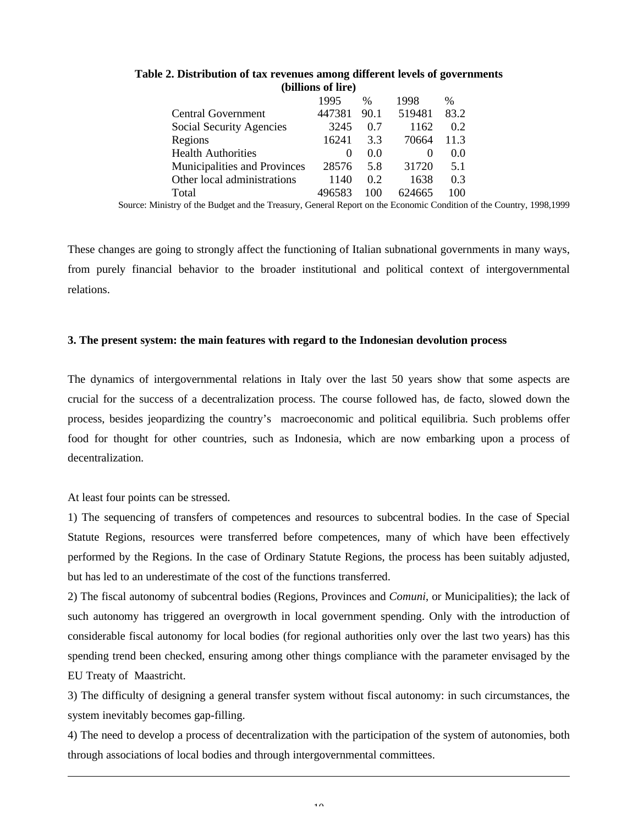|                              | 1995     | $\%$ | 1998   | $\%$ |  |
|------------------------------|----------|------|--------|------|--|
| Central Government           | 447381   | 90.1 | 519481 | 83.2 |  |
| Social Security Agencies     | 3245     | 0.7  | 1162   | 0.2  |  |
| Regions                      | 16241    | 3.3  | 70664  | 11.3 |  |
| <b>Health Authorities</b>    | $\theta$ | 0.0  |        | 0.0  |  |
| Municipalities and Provinces | 28576    | 5.8  | 31720  | 5.1  |  |
| Other local administrations  | 1140     | 0.2  | 1638   | 0.3  |  |
| Total                        | 496583   | 100  | 624665 | 100  |  |
|                              |          |      |        |      |  |

**Table 2. Distribution of tax revenues among different levels of governments (billions of lire)**

Source: Ministry of the Budget and the Treasury, General Report on the Economic Condition of the Country, 1998,1999

These changes are going to strongly affect the functioning of Italian subnational governments in many ways, from purely financial behavior to the broader institutional and political context of intergovernmental relations.

## **3. The present system: the main features with regard to the Indonesian devolution process**

The dynamics of intergovernmental relations in Italy over the last 50 years show that some aspects are crucial for the success of a decentralization process. The course followed has, de facto, slowed down the process, besides jeopardizing the country's macroeconomic and political equilibria. Such problems offer food for thought for other countries, such as Indonesia, which are now embarking upon a process of decentralization.

At least four points can be stressed.

 $\overline{a}$ 

1) The sequencing of transfers of competences and resources to subcentral bodies. In the case of Special Statute Regions, resources were transferred before competences, many of which have been effectively performed by the Regions. In the case of Ordinary Statute Regions, the process has been suitably adjusted, but has led to an underestimate of the cost of the functions transferred.

2) The fiscal autonomy of subcentral bodies (Regions, Provinces and *Comuni*, or Municipalities); the lack of such autonomy has triggered an overgrowth in local government spending. Only with the introduction of considerable fiscal autonomy for local bodies (for regional authorities only over the last two years) has this spending trend been checked, ensuring among other things compliance with the parameter envisaged by the EU Treaty of Maastricht.

3) The difficulty of designing a general transfer system without fiscal autonomy: in such circumstances, the system inevitably becomes gap-filling.

4) The need to develop a process of decentralization with the participation of the system of autonomies, both through associations of local bodies and through intergovernmental committees.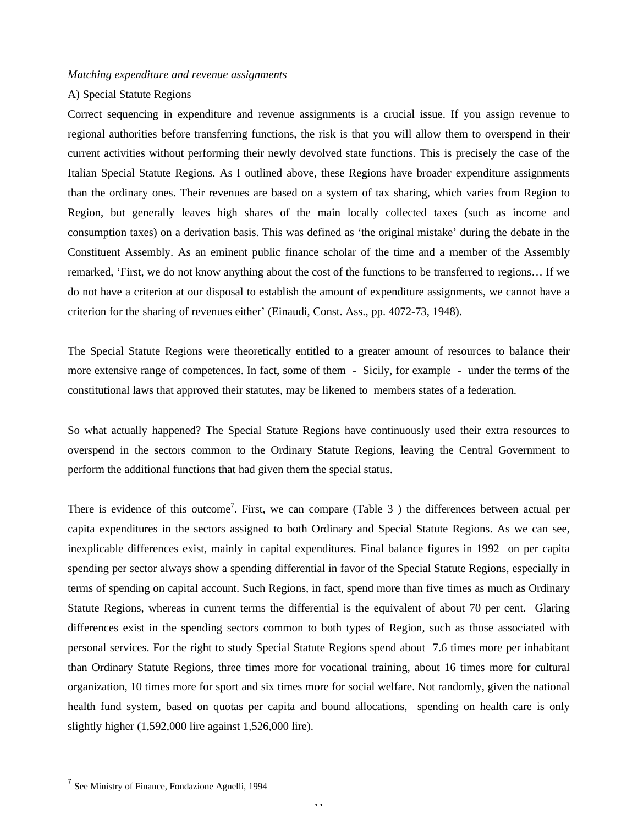#### *Matching expenditure and revenue assignments*

#### A) Special Statute Regions

Correct sequencing in expenditure and revenue assignments is a crucial issue. If you assign revenue to regional authorities before transferring functions, the risk is that you will allow them to overspend in their current activities without performing their newly devolved state functions. This is precisely the case of the Italian Special Statute Regions. As I outlined above, these Regions have broader expenditure assignments than the ordinary ones. Their revenues are based on a system of tax sharing, which varies from Region to Region, but generally leaves high shares of the main locally collected taxes (such as income and consumption taxes) on a derivation basis. This was defined as 'the original mistake' during the debate in the Constituent Assembly. As an eminent public finance scholar of the time and a member of the Assembly remarked, 'First, we do not know anything about the cost of the functions to be transferred to regions… If we do not have a criterion at our disposal to establish the amount of expenditure assignments, we cannot have a criterion for the sharing of revenues either' (Einaudi, Const. Ass., pp. 4072-73, 1948).

The Special Statute Regions were theoretically entitled to a greater amount of resources to balance their more extensive range of competences. In fact, some of them - Sicily, for example - under the terms of the constitutional laws that approved their statutes, may be likened to members states of a federation.

So what actually happened? The Special Statute Regions have continuously used their extra resources to overspend in the sectors common to the Ordinary Statute Regions, leaving the Central Government to perform the additional functions that had given them the special status.

There is evidence of this outcome<sup>7</sup>. First, we can compare (Table 3) the differences between actual per capita expenditures in the sectors assigned to both Ordinary and Special Statute Regions. As we can see, inexplicable differences exist, mainly in capital expenditures. Final balance figures in 1992 on per capita spending per sector always show a spending differential in favor of the Special Statute Regions, especially in terms of spending on capital account. Such Regions, in fact, spend more than five times as much as Ordinary Statute Regions, whereas in current terms the differential is the equivalent of about 70 per cent. Glaring differences exist in the spending sectors common to both types of Region, such as those associated with personal services. For the right to study Special Statute Regions spend about 7.6 times more per inhabitant than Ordinary Statute Regions, three times more for vocational training, about 16 times more for cultural organization, 10 times more for sport and six times more for social welfare. Not randomly, given the national health fund system, based on quotas per capita and bound allocations, spending on health care is only slightly higher (1,592,000 lire against 1,526,000 lire).

11

 7 See Ministry of Finance, Fondazione Agnelli, 1994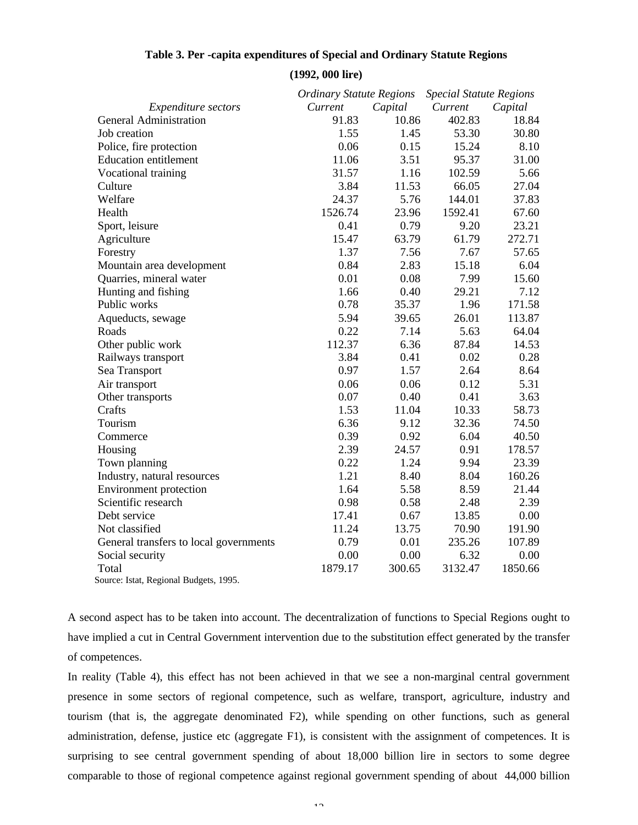|                                        | <b>Ordinary Statute Regions</b> |         | <b>Special Statute Regions</b> |         |  |  |
|----------------------------------------|---------------------------------|---------|--------------------------------|---------|--|--|
| <b>Expenditure</b> sectors             | Current                         | Capital | Current                        | Capital |  |  |
| <b>General Administration</b>          | 91.83                           | 10.86   | 402.83                         | 18.84   |  |  |
| Job creation                           | 1.55                            | 1.45    | 53.30                          | 30.80   |  |  |
| Police, fire protection                | 0.06                            | 0.15    | 15.24                          | 8.10    |  |  |
| <b>Education entitlement</b>           | 11.06                           | 3.51    | 95.37                          | 31.00   |  |  |
| Vocational training                    | 31.57                           | 1.16    | 102.59                         | 5.66    |  |  |
| Culture                                | 3.84                            | 11.53   | 66.05                          | 27.04   |  |  |
| Welfare                                | 24.37                           | 5.76    | 144.01                         | 37.83   |  |  |
| Health                                 | 1526.74                         | 23.96   | 1592.41                        | 67.60   |  |  |
| Sport, leisure                         | 0.41                            | 0.79    | 9.20                           | 23.21   |  |  |
| Agriculture                            | 15.47                           | 63.79   | 61.79                          | 272.71  |  |  |
| Forestry                               | 1.37                            | 7.56    | 7.67                           | 57.65   |  |  |
| Mountain area development              | 0.84                            | 2.83    | 15.18                          | 6.04    |  |  |
| Quarries, mineral water                | 0.01                            | 0.08    | 7.99                           | 15.60   |  |  |
| Hunting and fishing                    | 1.66                            | 0.40    | 29.21                          | 7.12    |  |  |
| Public works                           | 0.78                            | 35.37   | 1.96                           | 171.58  |  |  |
| Aqueducts, sewage                      | 5.94                            | 39.65   | 26.01                          | 113.87  |  |  |
| Roads                                  | 0.22                            | 7.14    | 5.63                           | 64.04   |  |  |
| Other public work                      | 112.37                          | 6.36    | 87.84                          | 14.53   |  |  |
| Railways transport                     | 3.84                            | 0.41    | 0.02                           | 0.28    |  |  |
| Sea Transport                          | 0.97                            | 1.57    | 2.64                           | 8.64    |  |  |
| Air transport                          | 0.06                            | 0.06    | 0.12                           | 5.31    |  |  |
| Other transports                       | 0.07                            | 0.40    | 0.41                           | 3.63    |  |  |
| Crafts                                 | 1.53                            | 11.04   | 10.33                          | 58.73   |  |  |
| Tourism                                | 6.36                            | 9.12    | 32.36                          | 74.50   |  |  |
| Commerce                               | 0.39                            | 0.92    | 6.04                           | 40.50   |  |  |
| Housing                                | 2.39                            | 24.57   | 0.91                           | 178.57  |  |  |
| Town planning                          | 0.22                            | 1.24    | 9.94                           | 23.39   |  |  |
| Industry, natural resources            | 1.21                            | 8.40    | 8.04                           | 160.26  |  |  |
| Environment protection                 | 1.64                            | 5.58    | 8.59                           | 21.44   |  |  |
| Scientific research                    | 0.98                            | 0.58    | 2.48                           | 2.39    |  |  |
| Debt service                           | 17.41                           | 0.67    | 13.85                          | 0.00    |  |  |
| Not classified                         | 11.24                           | 13.75   | 70.90                          | 191.90  |  |  |
| General transfers to local governments | 0.79                            | 0.01    | 235.26                         | 107.89  |  |  |
| Social security                        | 0.00                            | 0.00    | 6.32                           | 0.00    |  |  |
| Total                                  | 1879.17                         | 300.65  | 3132.47                        | 1850.66 |  |  |
| Source: Istat, Regional Budgets, 1995. |                                 |         |                                |         |  |  |

## **Table 3. Per -capita expenditures of Special and Ordinary Statute Regions**

**(1992, 000 lire)**

A second aspect has to be taken into account. The decentralization of functions to Special Regions ought to have implied a cut in Central Government intervention due to the substitution effect generated by the transfer of competences.

In reality (Table 4), this effect has not been achieved in that we see a non-marginal central government presence in some sectors of regional competence, such as welfare, transport, agriculture, industry and tourism (that is, the aggregate denominated F2), while spending on other functions, such as general administration, defense, justice etc (aggregate F1), is consistent with the assignment of competences. It is surprising to see central government spending of about 18,000 billion lire in sectors to some degree comparable to those of regional competence against regional government spending of about 44,000 billion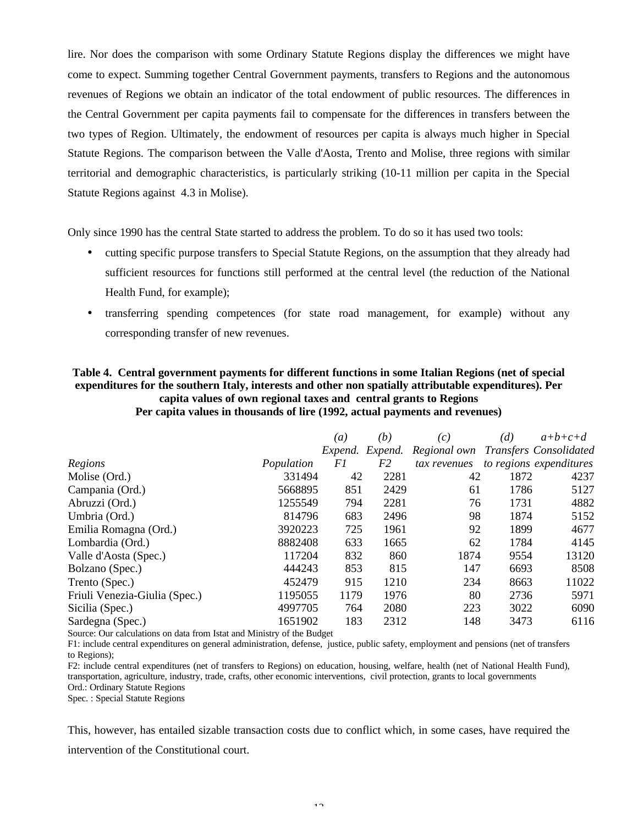lire. Nor does the comparison with some Ordinary Statute Regions display the differences we might have come to expect. Summing together Central Government payments, transfers to Regions and the autonomous revenues of Regions we obtain an indicator of the total endowment of public resources. The differences in the Central Government per capita payments fail to compensate for the differences in transfers between the two types of Region. Ultimately, the endowment of resources per capita is always much higher in Special Statute Regions. The comparison between the Valle d'Aosta, Trento and Molise, three regions with similar territorial and demographic characteristics, is particularly striking (10-11 million per capita in the Special Statute Regions against 4.3 in Molise).

Only since 1990 has the central State started to address the problem. To do so it has used two tools:

- cutting specific purpose transfers to Special Statute Regions, on the assumption that they already had sufficient resources for functions still performed at the central level (the reduction of the National Health Fund, for example);
- transferring spending competences (for state road management, for example) without any corresponding transfer of new revenues.

## **Table 4. Central government payments for different functions in some Italian Regions (net of special expenditures for the southern Italy, interests and other non spatially attributable expenditures). Per capita values of own regional taxes and central grants to Regions Per capita values in thousands of lire (1992, actual payments and revenues)**

|            | (a)               | (b)              | (c)                                                                                  | (d) | $a+b+c+d$                                                                                                                                                     |
|------------|-------------------|------------------|--------------------------------------------------------------------------------------|-----|---------------------------------------------------------------------------------------------------------------------------------------------------------------|
|            |                   | Expend.          | Regional own                                                                         |     | Transfers Consolidated                                                                                                                                        |
| Population | F1                | F2               | tax revenues                                                                         |     | to regions expenditures                                                                                                                                       |
| 331494     |                   | 2281             |                                                                                      |     | 4237                                                                                                                                                          |
| 5668895    | 851               | 2429             | 61                                                                                   |     | 5127                                                                                                                                                          |
|            |                   | 2281             |                                                                                      |     | 4882                                                                                                                                                          |
|            |                   | 2496             |                                                                                      |     | 5152                                                                                                                                                          |
| 3920223    |                   | 1961             |                                                                                      |     | 4677                                                                                                                                                          |
| 8882408    |                   | 1665             |                                                                                      |     | 4145                                                                                                                                                          |
|            |                   | 860              |                                                                                      |     | 13120                                                                                                                                                         |
| 444243     |                   | 815              | 147                                                                                  |     | 8508                                                                                                                                                          |
|            |                   | 1210             |                                                                                      |     | 11022                                                                                                                                                         |
| 1195055    |                   | 1976             |                                                                                      |     | 5971                                                                                                                                                          |
| 4997705    |                   | 2080             |                                                                                      |     | 6090                                                                                                                                                          |
| 1651902    |                   | 2312             |                                                                                      |     | 6116                                                                                                                                                          |
|            | 1255549<br>117204 | 814796<br>452479 | Expend.<br>42<br>794<br>683<br>725<br>633<br>832<br>853<br>915<br>1179<br>764<br>183 |     | 42<br>1872<br>1786<br>76<br>1731<br>98<br>1874<br>92<br>1899<br>1784<br>62<br>1874<br>9554<br>6693<br>234<br>8663<br>80<br>2736<br>223<br>3022<br>148<br>3473 |

Source: Our calculations on data from Istat and Ministry of the Budget

F1: include central expenditures on general administration, defense, justice, public safety, employment and pensions (net of transfers to Regions);

F2: include central expenditures (net of transfers to Regions) on education, housing, welfare, health (net of National Health Fund), transportation, agriculture, industry, trade, crafts, other economic interventions, civil protection, grants to local governments Ord.: Ordinary Statute Regions

Spec. : Special Statute Regions

This, however, has entailed sizable transaction costs due to conflict which, in some cases, have required the intervention of the Constitutional court.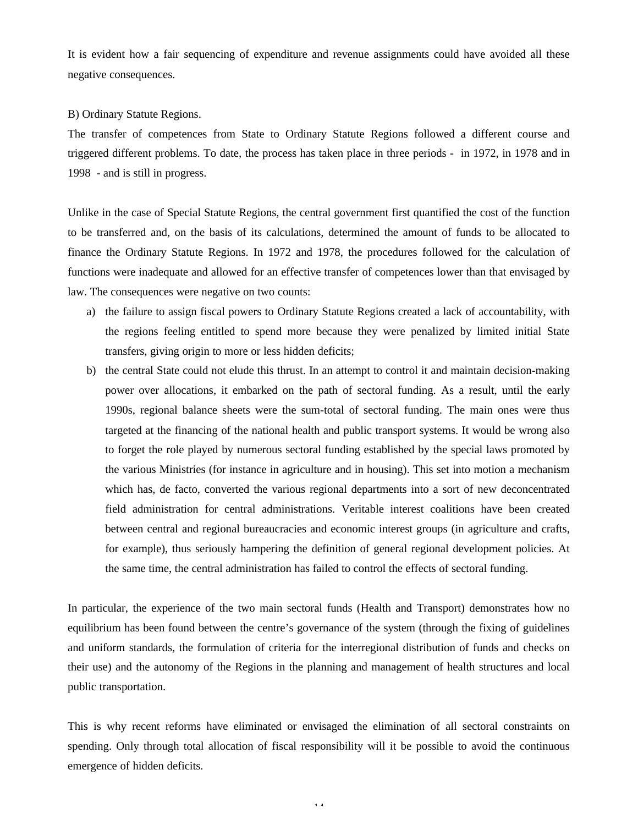It is evident how a fair sequencing of expenditure and revenue assignments could have avoided all these negative consequences.

#### B) Ordinary Statute Regions.

The transfer of competences from State to Ordinary Statute Regions followed a different course and triggered different problems. To date, the process has taken place in three periods - in 1972, in 1978 and in 1998 - and is still in progress.

Unlike in the case of Special Statute Regions, the central government first quantified the cost of the function to be transferred and, on the basis of its calculations, determined the amount of funds to be allocated to finance the Ordinary Statute Regions. In 1972 and 1978, the procedures followed for the calculation of functions were inadequate and allowed for an effective transfer of competences lower than that envisaged by law. The consequences were negative on two counts:

- a) the failure to assign fiscal powers to Ordinary Statute Regions created a lack of accountability, with the regions feeling entitled to spend more because they were penalized by limited initial State transfers, giving origin to more or less hidden deficits;
- b) the central State could not elude this thrust. In an attempt to control it and maintain decision-making power over allocations, it embarked on the path of sectoral funding. As a result, until the early 1990s, regional balance sheets were the sum-total of sectoral funding. The main ones were thus targeted at the financing of the national health and public transport systems. It would be wrong also to forget the role played by numerous sectoral funding established by the special laws promoted by the various Ministries (for instance in agriculture and in housing). This set into motion a mechanism which has, de facto, converted the various regional departments into a sort of new deconcentrated field administration for central administrations. Veritable interest coalitions have been created between central and regional bureaucracies and economic interest groups (in agriculture and crafts, for example), thus seriously hampering the definition of general regional development policies. At the same time, the central administration has failed to control the effects of sectoral funding.

In particular, the experience of the two main sectoral funds (Health and Transport) demonstrates how no equilibrium has been found between the centre's governance of the system (through the fixing of guidelines and uniform standards, the formulation of criteria for the interregional distribution of funds and checks on their use) and the autonomy of the Regions in the planning and management of health structures and local public transportation.

This is why recent reforms have eliminated or envisaged the elimination of all sectoral constraints on spending. Only through total allocation of fiscal responsibility will it be possible to avoid the continuous emergence of hidden deficits.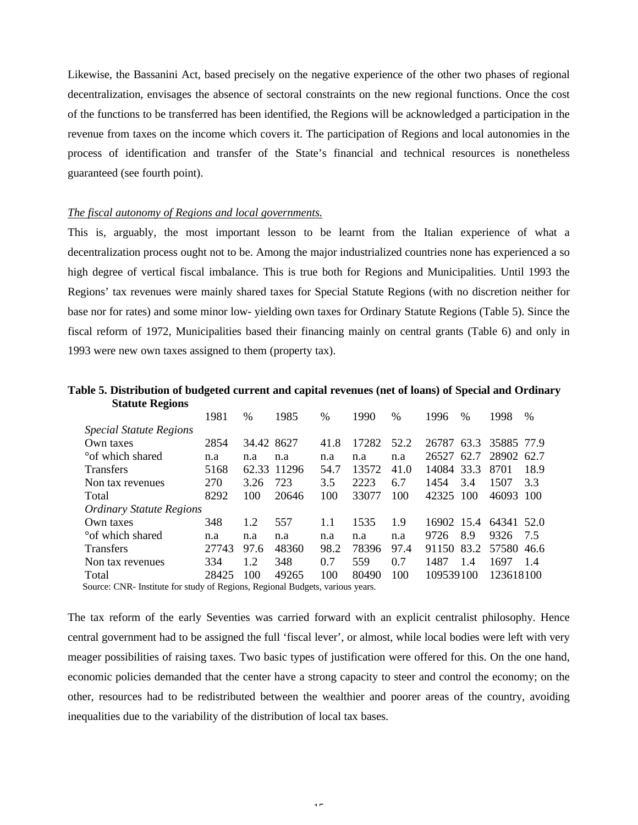Likewise, the Bassanini Act, based precisely on the negative experience of the other two phases of regional decentralization, envisages the absence of sectoral constraints on the new regional functions. Once the cost of the functions to be transferred has been identified, the Regions will be acknowledged a participation in the revenue from taxes on the income which covers it. The participation of Regions and local autonomies in the process of identification and transfer of the State's financial and technical resources is nonetheless guaranteed (see fourth point).

#### *The fiscal autonomy of Regions and local governments.*

This is, arguably, the most important lesson to be learnt from the Italian experience of what a decentralization process ought not to be. Among the major industrialized countries none has experienced a so high degree of vertical fiscal imbalance. This is true both for Regions and Municipalities. Until 1993 the Regions' tax revenues were mainly shared taxes for Special Statute Regions (with no discretion neither for base nor for rates) and some minor low- yielding own taxes for Ordinary Statute Regions (Table 5). Since the fiscal reform of 1972, Municipalities based their financing mainly on central grants (Table 6) and only in 1993 were new own taxes assigned to them (property tax).

## **Table 5. Distribution of budgeted current and capital revenues (net of loans) of Special and Ordinary Statute Regions**

|                                                                              | 1981  | $\frac{0}{0}$ | 1985        | $\frac{0}{0}$ | 1990  | $\frac{0}{0}$ | 1996       | $\frac{0}{0}$ | 1998       | %    |
|------------------------------------------------------------------------------|-------|---------------|-------------|---------------|-------|---------------|------------|---------------|------------|------|
| <b>Special Statute Regions</b>                                               |       |               |             |               |       |               |            |               |            |      |
| Own taxes                                                                    | 2854  | 34.42 8627    |             | 41.8          | 17282 | 52.2          | 26787 63.3 |               | 35885 77.9 |      |
| <sup>o</sup> of which shared                                                 | n.a   | n.a           | n.a         | n.a           | n.a   | n.a           | 26527      | 62.7          | 28902 62.7 |      |
| <b>Transfers</b>                                                             | 5168  |               | 62.33 11296 | 54.7          | 13572 | 41.0          | 14084 33.3 |               | 8701       | 18.9 |
| Non tax revenues                                                             | 270   | 3.26          | 723         | 3.5           | 2223  | 6.7           | 1454       | 3.4           | 1507       | 3.3  |
| Total                                                                        | 8292  | 100           | 20646       | 100           | 33077 | 100           | 42325      | 100           | 46093      | 100  |
| <b>Ordinary Statute Regions</b>                                              |       |               |             |               |       |               |            |               |            |      |
| Own taxes                                                                    | 348   | 1.2           | 557         | 1.1           | 1535  | 1.9           | 16902 15.4 |               | 64341 52.0 |      |
| °of which shared                                                             | n.a   | n.a           | n.a         | n.a           | n.a   | n.a           | 9726       | 8.9           | 9326       | 7.5  |
| <b>Transfers</b>                                                             | 27743 | 97.6          | 48360       | 98.2          | 78396 | 97.4          | 91150      | 83.2          | 57580 46.6 |      |
| Non tax revenues                                                             | 334   | 12            | 348         | 0.7           | 559   | 0.7           | 1487       | 1.4           | 1697       | 1.4  |
| Total                                                                        | 28425 | 100           | 49265       | 100           | 80490 | 100           | 109539100  |               | 123618100  |      |
| Source: CND, Institute for study of Degions, Degional Budgets, various vegrs |       |               |             |               |       |               |            |               |            |      |

Source: CNR- Institute for study of Regions, Regional Budgets, various years.

The tax reform of the early Seventies was carried forward with an explicit centralist philosophy. Hence central government had to be assigned the full 'fiscal lever', or almost, while local bodies were left with very meager possibilities of raising taxes. Two basic types of justification were offered for this. On the one hand, economic policies demanded that the center have a strong capacity to steer and control the economy; on the other, resources had to be redistributed between the wealthier and poorer areas of the country, avoiding inequalities due to the variability of the distribution of local tax bases.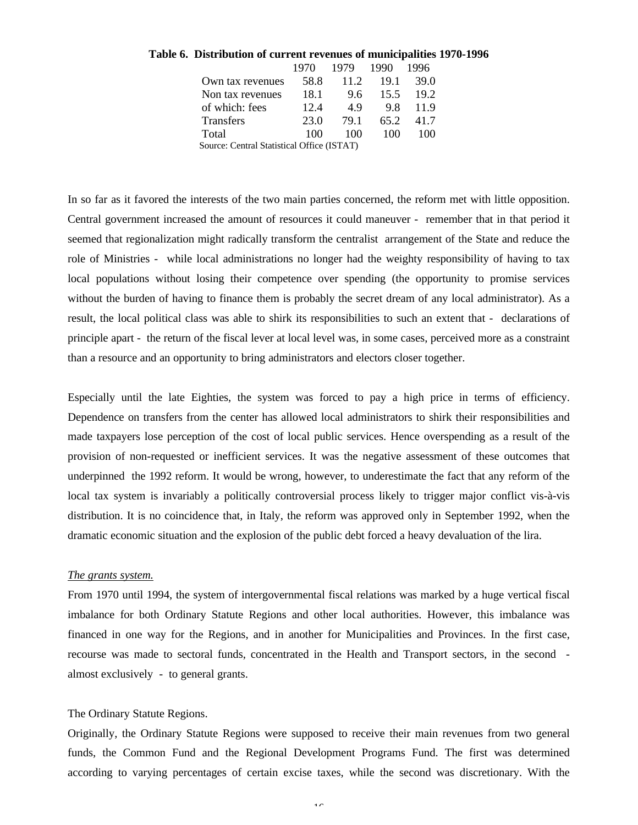| le 6. Distribution of current revenues of municipalities 1970-1 |       |                |               |           |  |
|-----------------------------------------------------------------|-------|----------------|---------------|-----------|--|
|                                                                 | 1970. | 1979           | 1990          | - 1996    |  |
| Own tax revenues                                                |       | 58.8 11.2 19.1 |               | 39.0      |  |
| Non tax revenues                                                | 18.1  |                | 9.6 15.5 19.2 |           |  |
| of which: fees                                                  | 12.4  | 49             | 9.8           | 119       |  |
| <b>Transfers</b>                                                | 23.0  | 79.1           |               | 65.2 41.7 |  |
| Total                                                           | 100   | 100            | 10O           | 100       |  |
| $\alpha$ 10. $\alpha$ 10. $\alpha$                              |       | (TC)           |               |           |  |

## **Table 6. Distribution of current revenues of municipalities 1970-1996**

Source: Central Statistical Office (ISTAT)

In so far as it favored the interests of the two main parties concerned, the reform met with little opposition. Central government increased the amount of resources it could maneuver - remember that in that period it seemed that regionalization might radically transform the centralist arrangement of the State and reduce the role of Ministries - while local administrations no longer had the weighty responsibility of having to tax local populations without losing their competence over spending (the opportunity to promise services without the burden of having to finance them is probably the secret dream of any local administrator). As a result, the local political class was able to shirk its responsibilities to such an extent that - declarations of principle apart - the return of the fiscal lever at local level was, in some cases, perceived more as a constraint than a resource and an opportunity to bring administrators and electors closer together.

Especially until the late Eighties, the system was forced to pay a high price in terms of efficiency. Dependence on transfers from the center has allowed local administrators to shirk their responsibilities and made taxpayers lose perception of the cost of local public services. Hence overspending as a result of the provision of non-requested or inefficient services. It was the negative assessment of these outcomes that underpinned the 1992 reform. It would be wrong, however, to underestimate the fact that any reform of the local tax system is invariably a politically controversial process likely to trigger major conflict vis-à-vis distribution. It is no coincidence that, in Italy, the reform was approved only in September 1992, when the dramatic economic situation and the explosion of the public debt forced a heavy devaluation of the lira.

## *The grants system.*

From 1970 until 1994, the system of intergovernmental fiscal relations was marked by a huge vertical fiscal imbalance for both Ordinary Statute Regions and other local authorities. However, this imbalance was financed in one way for the Regions, and in another for Municipalities and Provinces. In the first case, recourse was made to sectoral funds, concentrated in the Health and Transport sectors, in the second almost exclusively - to general grants.

#### The Ordinary Statute Regions.

Originally, the Ordinary Statute Regions were supposed to receive their main revenues from two general funds, the Common Fund and the Regional Development Programs Fund. The first was determined according to varying percentages of certain excise taxes, while the second was discretionary. With the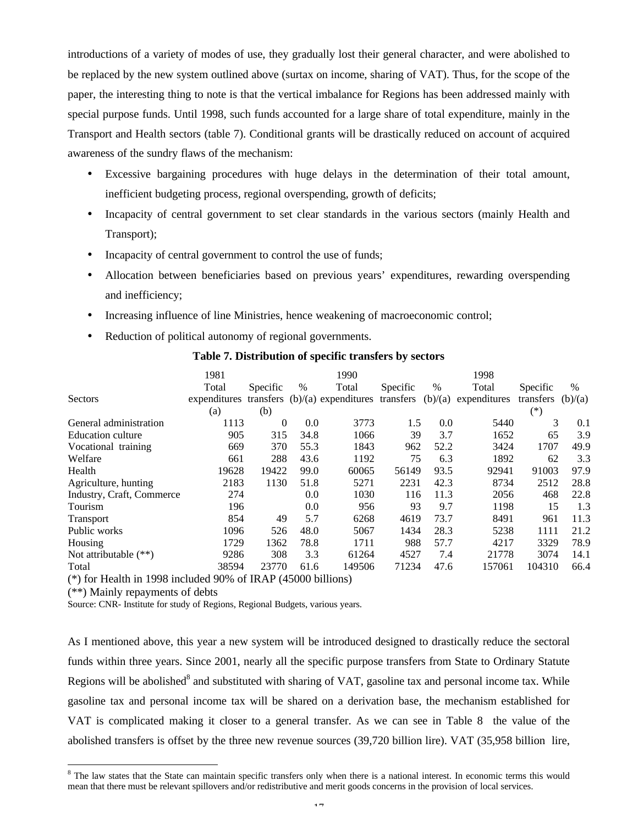introductions of a variety of modes of use, they gradually lost their general character, and were abolished to be replaced by the new system outlined above (surtax on income, sharing of VAT). Thus, for the scope of the paper, the interesting thing to note is that the vertical imbalance for Regions has been addressed mainly with special purpose funds. Until 1998, such funds accounted for a large share of total expenditure, mainly in the Transport and Health sectors (table 7). Conditional grants will be drastically reduced on account of acquired awareness of the sundry flaws of the mechanism:

- Excessive bargaining procedures with huge delays in the determination of their total amount, inefficient budgeting process, regional overspending, growth of deficits;
- Incapacity of central government to set clear standards in the various sectors (mainly Health and Transport);
- Incapacity of central government to control the use of funds;
- Allocation between beneficiaries based on previous years' expenditures, rewarding overspending and inefficiency;
- Increasing influence of line Ministries, hence weakening of macroeconomic control;
- Reduction of political autonomy of regional governments.

|                           | 1981         |           |      | 1990                   |           |         | 1998         |           |               |
|---------------------------|--------------|-----------|------|------------------------|-----------|---------|--------------|-----------|---------------|
|                           | Total        | Specific  | $\%$ | Total                  | Specific  | $\%$    | Total        | Specific  | $\frac{0}{0}$ |
| <b>Sectors</b>            | expenditures | transfers |      | $(b)/(a)$ expenditures | transfers | (b)/(a) | expenditures | transfers | (b)/(a)       |
|                           | (a)          | (b)       |      |                        |           |         |              | $(*)$     |               |
| General administration    | 1113         | $\Omega$  | 0.0  | 3773                   | 1.5       | 0.0     | 5440         | 3         | 0.1           |
| <b>Education culture</b>  | 905          | 315       | 34.8 | 1066                   | 39        | 3.7     | 1652         | 65        | 3.9           |
| Vocational training       | 669          | 370       | 55.3 | 1843                   | 962       | 52.2    | 3424         | 1707      | 49.9          |
| Welfare                   | 661          | 288       | 43.6 | 1192                   | 75        | 6.3     | 1892         | 62        | 3.3           |
| Health                    | 19628        | 19422     | 99.0 | 60065                  | 56149     | 93.5    | 92941        | 91003     | 97.9          |
| Agriculture, hunting      | 2183         | 1130      | 51.8 | 5271                   | 2231      | 42.3    | 8734         | 2512      | 28.8          |
| Industry, Craft, Commerce | 274          |           | 0.0  | 1030                   | 116       | 11.3    | 2056         | 468       | 22.8          |
| Tourism                   | 196          |           | 0.0  | 956                    | 93        | 9.7     | 1198         | 15        | 1.3           |
| <b>Transport</b>          | 854          | 49        | 5.7  | 6268                   | 4619      | 73.7    | 8491         | 961       | 11.3          |
| Public works              | 1096         | 526       | 48.0 | 5067                   | 1434      | 28.3    | 5238         | 1111      | 21.2          |
| Housing                   | 1729         | 1362      | 78.8 | 1711                   | 988       | 57.7    | 4217         | 3329      | 78.9          |
| Not attributable $(**)$   | 9286         | 308       | 3.3  | 61264                  | 4527      | 7.4     | 21778        | 3074      | 14.1          |
| Total                     | 38594        | 23770     | 61.6 | 149506                 | 71234     | 47.6    | 157061       | 104310    | 66.4          |

### **Table 7. Distribution of specific transfers by sectors**

(\*) for Health in 1998 included 90% of IRAP (45000 billions)

(\*\*) Mainly repayments of debts

l

Source: CNR- Institute for study of Regions, Regional Budgets, various years.

As I mentioned above, this year a new system will be introduced designed to drastically reduce the sectoral funds within three years. Since 2001, nearly all the specific purpose transfers from State to Ordinary Statute Regions will be abolished<sup>8</sup> and substituted with sharing of VAT, gasoline tax and personal income tax. While gasoline tax and personal income tax will be shared on a derivation base, the mechanism established for VAT is complicated making it closer to a general transfer. As we can see in Table 8 the value of the abolished transfers is offset by the three new revenue sources (39,720 billion lire). VAT (35,958 billion lire,

<sup>&</sup>lt;sup>8</sup> The law states that the State can maintain specific transfers only when there is a national interest. In economic terms this would mean that there must be relevant spillovers and/or redistributive and merit goods concerns in the provision of local services.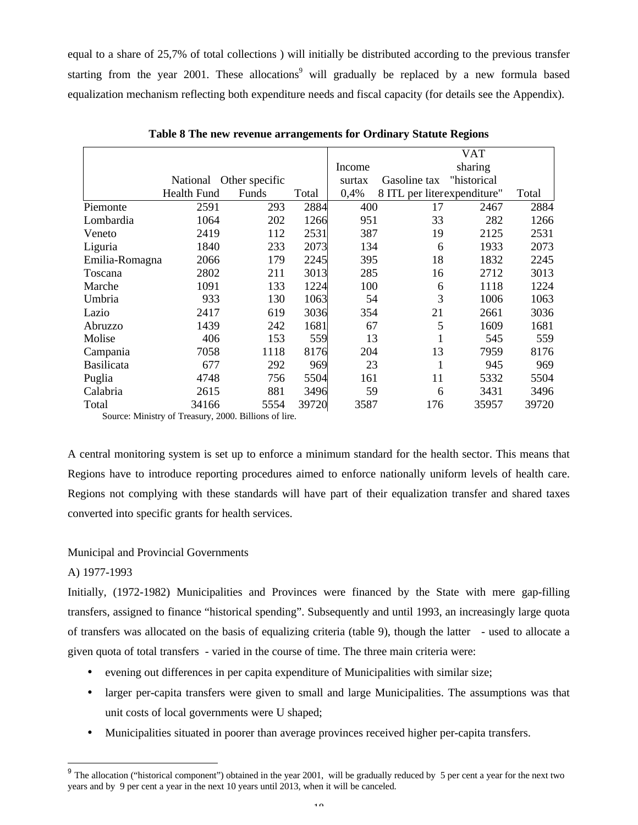equal to a share of 25,7% of total collections ) will initially be distributed according to the previous transfer starting from the year 2001. These allocations<sup>9</sup> will gradually be replaced by a new formula based equalization mechanism reflecting both expenditure needs and fiscal capacity (for details see the Appendix).

|                   |                                                     |       |       | <b>VAT</b> |                             |             |       |  |  |  |
|-------------------|-----------------------------------------------------|-------|-------|------------|-----------------------------|-------------|-------|--|--|--|
|                   |                                                     |       |       | Income     |                             | sharing     |       |  |  |  |
|                   | National Other specific                             |       |       | surtax     | Gasoline tax                | "historical |       |  |  |  |
|                   | <b>Health Fund</b>                                  | Funds | Total | 0,4%       | 8 ITL per literexpenditure" |             | Total |  |  |  |
| Piemonte          | 2591                                                | 293   | 2884  | 400        | 17                          | 2467        | 2884  |  |  |  |
| Lombardia         | 1064                                                | 202   | 1266  | 951        | 33                          | 282         | 1266  |  |  |  |
| Veneto            | 2419                                                | 112   | 2531  | 387        | 19                          | 2125        | 2531  |  |  |  |
| Liguria           | 1840                                                | 233   | 2073  | 134        | 6                           | 1933        | 2073  |  |  |  |
| Emilia-Romagna    | 2066                                                | 179   | 2245  | 395        | 18                          | 1832        | 2245  |  |  |  |
| Toscana           | 2802                                                | 211   | 3013  | 285        | 16                          | 2712        | 3013  |  |  |  |
| Marche            | 1091                                                | 133   | 1224  | 100        | 6                           | 1118        | 1224  |  |  |  |
| Umbria            | 933                                                 | 130   | 1063  | 54         | 3                           | 1006        | 1063  |  |  |  |
| Lazio             | 2417                                                | 619   | 3036  | 354        | 21                          | 2661        | 3036  |  |  |  |
| Abruzzo           | 1439                                                | 242   | 1681  | 67         | 5                           | 1609        | 1681  |  |  |  |
| Molise            | 406                                                 | 153   | 559   | 13         |                             | 545         | 559   |  |  |  |
| Campania          | 7058                                                | 1118  | 8176  | 204        | 13                          | 7959        | 8176  |  |  |  |
| <b>Basilicata</b> | 677                                                 | 292   | 969   | 23         | 1                           | 945         | 969   |  |  |  |
| Puglia            | 4748                                                | 756   | 5504  | 161        | 11                          | 5332        | 5504  |  |  |  |
| Calabria          | 2615                                                | 881   | 3496  | 59         | 6                           | 3431        | 3496  |  |  |  |
| Total             | 34166                                               | 5554  | 39720 | 3587       | 176                         | 35957       | 39720 |  |  |  |
|                   | Source: Ministry of Treasury 2000, Billions of live |       |       |            |                             |             |       |  |  |  |

**Table 8 The new revenue arrangements for Ordinary Statute Regions**

Source: Ministry of Treasury, 2000. Billions of lire.

A central monitoring system is set up to enforce a minimum standard for the health sector. This means that Regions have to introduce reporting procedures aimed to enforce nationally uniform levels of health care. Regions not complying with these standards will have part of their equalization transfer and shared taxes converted into specific grants for health services.

## Municipal and Provincial Governments

# A) 1977-1993

l

Initially, (1972-1982) Municipalities and Provinces were financed by the State with mere gap-filling transfers, assigned to finance "historical spending". Subsequently and until 1993, an increasingly large quota of transfers was allocated on the basis of equalizing criteria (table 9), though the latter - used to allocate a given quota of total transfers - varied in the course of time. The three main criteria were:

- evening out differences in per capita expenditure of Municipalities with similar size;
- larger per-capita transfers were given to small and large Municipalities. The assumptions was that unit costs of local governments were U shaped;
- Municipalities situated in poorer than average provinces received higher per-capita transfers.

<sup>&</sup>lt;sup>9</sup> The allocation ("historical component") obtained in the year 2001, will be gradually reduced by 5 per cent a year for the next two years and by 9 per cent a year in the next 10 years until 2013, when it will be canceled.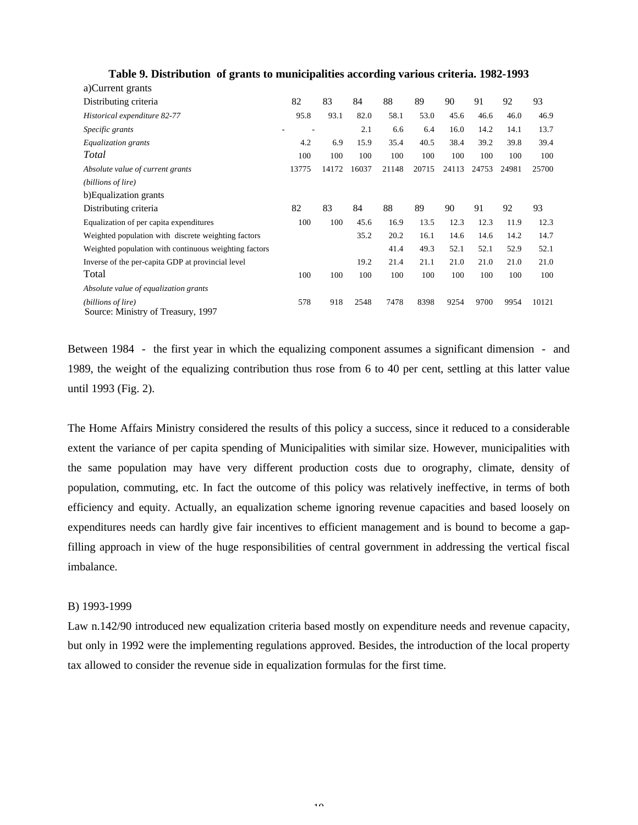| a)Current grants                                         |       |       |       |       |       |       |       |       |       |
|----------------------------------------------------------|-------|-------|-------|-------|-------|-------|-------|-------|-------|
| Distributing criteria                                    | 82    | 83    | 84    | 88    | 89    | 90    | 91    | 92    | 93    |
| Historical expenditure 82-77                             | 95.8  | 93.1  | 82.0  | 58.1  | 53.0  | 45.6  | 46.6  | 46.0  | 46.9  |
| Specific grants                                          |       |       | 2.1   | 6.6   | 6.4   | 16.0  | 14.2  | 14.1  | 13.7  |
| Equalization grants                                      | 4.2   | 6.9   | 15.9  | 35.4  | 40.5  | 38.4  | 39.2  | 39.8  | 39.4  |
| Total                                                    | 100   | 100   | 100   | 100   | 100   | 100   | 100   | 100   | 100   |
| Absolute value of current grants                         | 13775 | 14172 | 16037 | 21148 | 20715 | 24113 | 24753 | 24981 | 25700 |
| (billions of lire)                                       |       |       |       |       |       |       |       |       |       |
| b) Equalization grants                                   |       |       |       |       |       |       |       |       |       |
| Distributing criteria                                    | 82    | 83    | 84    | 88    | 89    | 90    | 91    | 92    | 93    |
| Equalization of per capita expenditures                  | 100   | 100   | 45.6  | 16.9  | 13.5  | 12.3  | 12.3  | 11.9  | 12.3  |
| Weighted population with discrete weighting factors      |       |       | 35.2  | 20.2  | 16.1  | 14.6  | 14.6  | 14.2  | 14.7  |
| Weighted population with continuous weighting factors    |       |       |       | 41.4  | 49.3  | 52.1  | 52.1  | 52.9  | 52.1  |
| Inverse of the per-capita GDP at provincial level        |       |       | 19.2  | 21.4  | 21.1  | 21.0  | 21.0  | 21.0  | 21.0  |
| Total                                                    | 100   | 100   | 100   | 100   | 100   | 100   | 100   | 100   | 100   |
| Absolute value of equalization grants                    |       |       |       |       |       |       |       |       |       |
| (billions of lire)<br>Source: Ministry of Treasury, 1997 | 578   | 918   | 2548  | 7478  | 8398  | 9254  | 9700  | 9954  | 10121 |

## **Table 9. Distribution of grants to municipalities according various criteria. 1982-1993**

Between 1984 - the first year in which the equalizing component assumes a significant dimension - and 1989, the weight of the equalizing contribution thus rose from 6 to 40 per cent, settling at this latter value until 1993 (Fig. 2).

The Home Affairs Ministry considered the results of this policy a success, since it reduced to a considerable extent the variance of per capita spending of Municipalities with similar size. However, municipalities with the same population may have very different production costs due to orography, climate, density of population, commuting, etc. In fact the outcome of this policy was relatively ineffective, in terms of both efficiency and equity. Actually, an equalization scheme ignoring revenue capacities and based loosely on expenditures needs can hardly give fair incentives to efficient management and is bound to become a gapfilling approach in view of the huge responsibilities of central government in addressing the vertical fiscal imbalance.

## B) 1993-1999

Law n.142/90 introduced new equalization criteria based mostly on expenditure needs and revenue capacity, but only in 1992 were the implementing regulations approved. Besides, the introduction of the local property tax allowed to consider the revenue side in equalization formulas for the first time.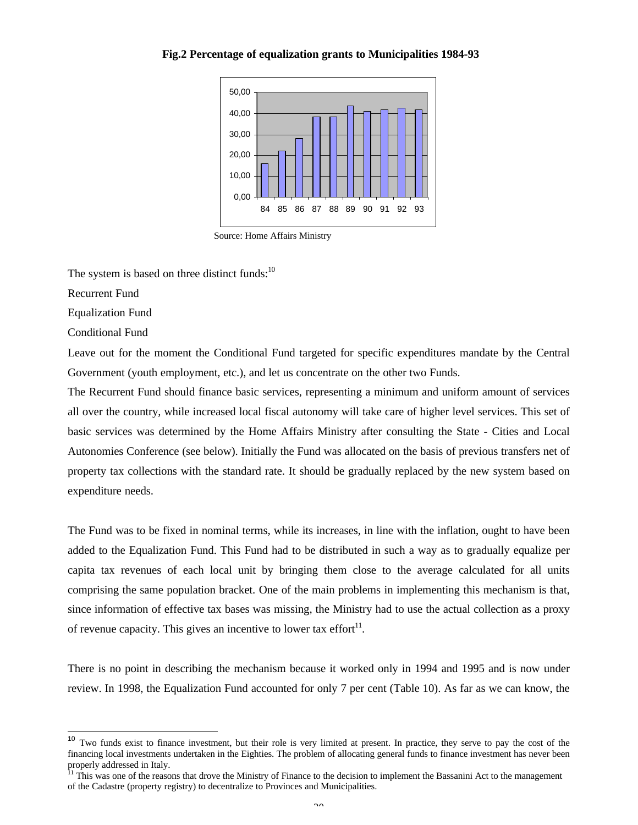**Fig.2 Percentage of equalization grants to Municipalities 1984-93**



Source: Home Affairs Ministry

The system is based on three distinct funds: $10$ 

Recurrent Fund

Equalization Fund

Conditional Fund

Leave out for the moment the Conditional Fund targeted for specific expenditures mandate by the Central Government (youth employment, etc.), and let us concentrate on the other two Funds.

The Recurrent Fund should finance basic services, representing a minimum and uniform amount of services all over the country, while increased local fiscal autonomy will take care of higher level services. This set of basic services was determined by the Home Affairs Ministry after consulting the State - Cities and Local Autonomies Conference (see below). Initially the Fund was allocated on the basis of previous transfers net of property tax collections with the standard rate. It should be gradually replaced by the new system based on expenditure needs.

The Fund was to be fixed in nominal terms, while its increases, in line with the inflation, ought to have been added to the Equalization Fund. This Fund had to be distributed in such a way as to gradually equalize per capita tax revenues of each local unit by bringing them close to the average calculated for all units comprising the same population bracket. One of the main problems in implementing this mechanism is that, since information of effective tax bases was missing, the Ministry had to use the actual collection as a proxy of revenue capacity. This gives an incentive to lower tax effort $11$ .

There is no point in describing the mechanism because it worked only in 1994 and 1995 and is now under review. In 1998, the Equalization Fund accounted for only 7 per cent (Table 10). As far as we can know, the

 $10$ Two funds exist to finance investment, but their role is very limited at present. In practice, they serve to pay the cost of the financing local investments undertaken in the Eighties. The problem of allocating general funds to finance investment has never been properly addressed in Italy.

<sup>&</sup>lt;sup>11</sup> This was one of the reasons that drove the Ministry of Finance to the decision to implement the Bassanini Act to the management of the Cadastre (property registry) to decentralize to Provinces and Municipalities.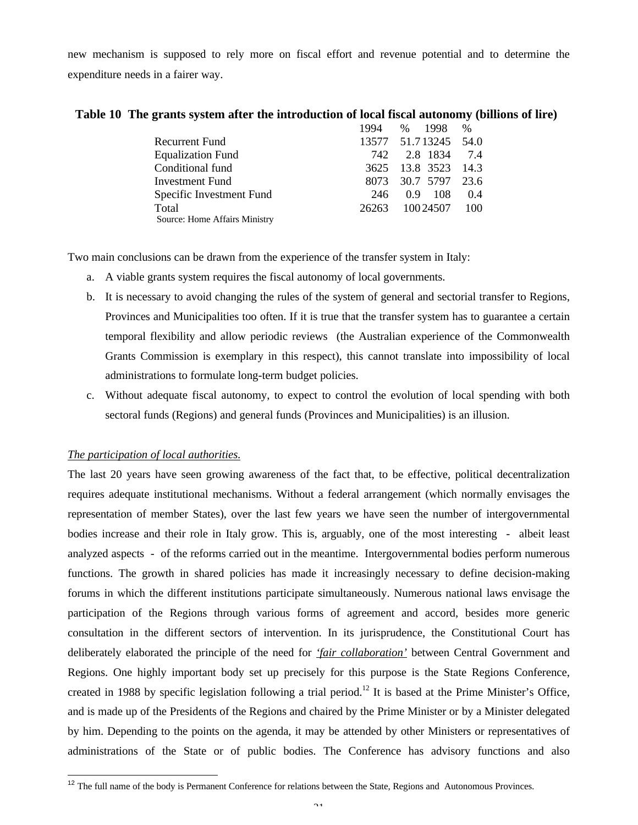new mechanism is supposed to rely more on fiscal effort and revenue potential and to determine the expenditure needs in a fairer way.

|  | Table 10 The grants system after the introduction of local fiscal autonomy (billions of lire) |  |
|--|-----------------------------------------------------------------------------------------------|--|
|  |                                                                                               |  |

1994 % 1998 %

|                               | 1994. | $\%$ 1998                 | $\%$  |
|-------------------------------|-------|---------------------------|-------|
| Recurrent Fund                |       | 13577 51.713245 54.0      |       |
| <b>Equalization Fund</b>      | 742   | 2.8 1834                  | 7.4   |
| Conditional fund              |       | 3625 13.8 3523            | 14.3  |
| Investment Fund               |       | 8073 30.7 5797            | 23.6  |
| Specific Investment Fund      | 246   | - 108<br>0.9 <sup>°</sup> | 0.4   |
| Total                         | 26263 | 10024507                  | - 100 |
| Source: Home Affairs Ministry |       |                           |       |

Two main conclusions can be drawn from the experience of the transfer system in Italy:

- a. A viable grants system requires the fiscal autonomy of local governments.
- b. It is necessary to avoid changing the rules of the system of general and sectorial transfer to Regions, Provinces and Municipalities too often. If it is true that the transfer system has to guarantee a certain temporal flexibility and allow periodic reviews (the Australian experience of the Commonwealth Grants Commission is exemplary in this respect), this cannot translate into impossibility of local administrations to formulate long-term budget policies.
- c. Without adequate fiscal autonomy, to expect to control the evolution of local spending with both sectoral funds (Regions) and general funds (Provinces and Municipalities) is an illusion.

## *The participation of local authorities.*

l

The last 20 years have seen growing awareness of the fact that, to be effective, political decentralization requires adequate institutional mechanisms. Without a federal arrangement (which normally envisages the representation of member States), over the last few years we have seen the number of intergovernmental bodies increase and their role in Italy grow. This is, arguably, one of the most interesting - albeit least analyzed aspects - of the reforms carried out in the meantime. Intergovernmental bodies perform numerous functions. The growth in shared policies has made it increasingly necessary to define decision-making forums in which the different institutions participate simultaneously. Numerous national laws envisage the participation of the Regions through various forms of agreement and accord, besides more generic consultation in the different sectors of intervention. In its jurisprudence, the Constitutional Court has deliberately elaborated the principle of the need for *'fair collaboration'* between Central Government and Regions. One highly important body set up precisely for this purpose is the State Regions Conference, created in 1988 by specific legislation following a trial period.<sup>12</sup> It is based at the Prime Minister's Office, and is made up of the Presidents of the Regions and chaired by the Prime Minister or by a Minister delegated by him. Depending to the points on the agenda, it may be attended by other Ministers or representatives of administrations of the State or of public bodies. The Conference has advisory functions and also

 $12$  The full name of the body is Permanent Conference for relations between the State, Regions and Autonomous Provinces.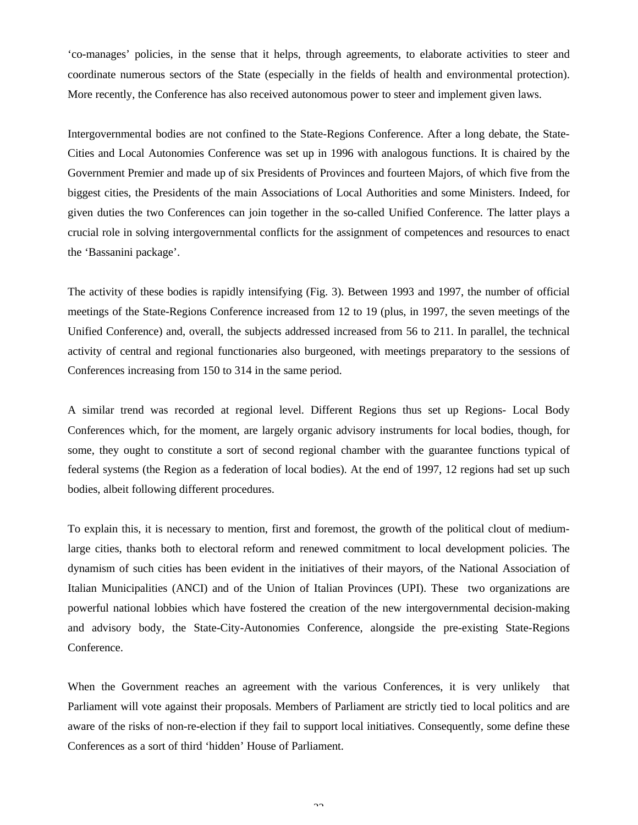'co-manages' policies, in the sense that it helps, through agreements, to elaborate activities to steer and coordinate numerous sectors of the State (especially in the fields of health and environmental protection). More recently, the Conference has also received autonomous power to steer and implement given laws.

Intergovernmental bodies are not confined to the State-Regions Conference. After a long debate, the State-Cities and Local Autonomies Conference was set up in 1996 with analogous functions. It is chaired by the Government Premier and made up of six Presidents of Provinces and fourteen Majors, of which five from the biggest cities, the Presidents of the main Associations of Local Authorities and some Ministers. Indeed, for given duties the two Conferences can join together in the so-called Unified Conference. The latter plays a crucial role in solving intergovernmental conflicts for the assignment of competences and resources to enact the 'Bassanini package'.

The activity of these bodies is rapidly intensifying (Fig. 3). Between 1993 and 1997, the number of official meetings of the State-Regions Conference increased from 12 to 19 (plus, in 1997, the seven meetings of the Unified Conference) and, overall, the subjects addressed increased from 56 to 211. In parallel, the technical activity of central and regional functionaries also burgeoned, with meetings preparatory to the sessions of Conferences increasing from 150 to 314 in the same period.

A similar trend was recorded at regional level. Different Regions thus set up Regions- Local Body Conferences which, for the moment, are largely organic advisory instruments for local bodies, though, for some, they ought to constitute a sort of second regional chamber with the guarantee functions typical of federal systems (the Region as a federation of local bodies). At the end of 1997, 12 regions had set up such bodies, albeit following different procedures.

To explain this, it is necessary to mention, first and foremost, the growth of the political clout of mediumlarge cities, thanks both to electoral reform and renewed commitment to local development policies. The dynamism of such cities has been evident in the initiatives of their mayors, of the National Association of Italian Municipalities (ANCI) and of the Union of Italian Provinces (UPI). These two organizations are powerful national lobbies which have fostered the creation of the new intergovernmental decision-making and advisory body, the State-City-Autonomies Conference, alongside the pre-existing State-Regions Conference.

When the Government reaches an agreement with the various Conferences, it is very unlikely that Parliament will vote against their proposals. Members of Parliament are strictly tied to local politics and are aware of the risks of non-re-election if they fail to support local initiatives. Consequently, some define these Conferences as a sort of third 'hidden' House of Parliament.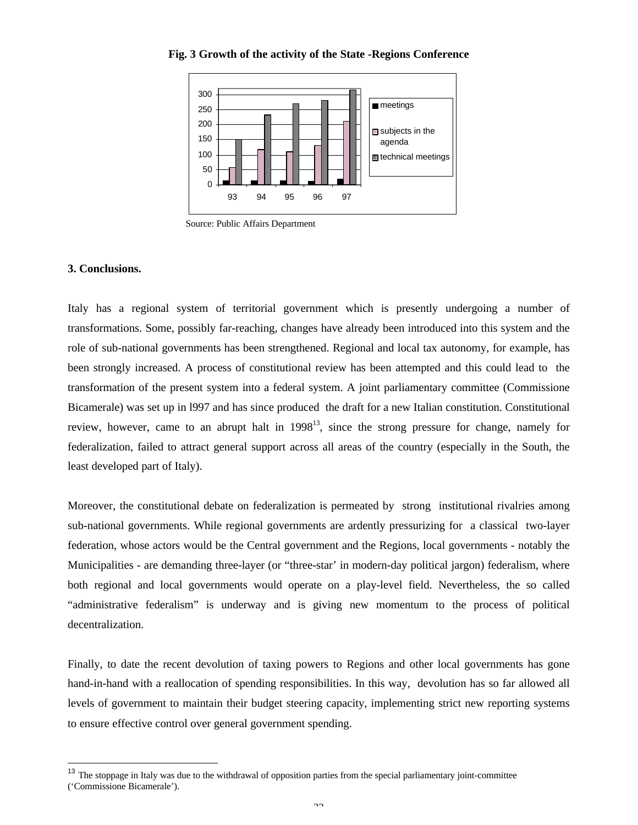

**Fig. 3 Growth of the activity of the State -Regions Conference**

Source: Public Affairs Department

## **3. Conclusions.**

l

Italy has a regional system of territorial government which is presently undergoing a number of transformations. Some, possibly far-reaching, changes have already been introduced into this system and the role of sub-national governments has been strengthened. Regional and local tax autonomy, for example, has been strongly increased. A process of constitutional review has been attempted and this could lead to the transformation of the present system into a federal system. A joint parliamentary committee (Commissione Bicamerale) was set up in l997 and has since produced the draft for a new Italian constitution. Constitutional review, however, came to an abrupt halt in  $1998^{13}$ , since the strong pressure for change, namely for federalization, failed to attract general support across all areas of the country (especially in the South, the least developed part of Italy).

Moreover, the constitutional debate on federalization is permeated by strong institutional rivalries among sub-national governments. While regional governments are ardently pressurizing for a classical two-layer federation, whose actors would be the Central government and the Regions, local governments - notably the Municipalities - are demanding three-layer (or "three-star' in modern-day political jargon) federalism, where both regional and local governments would operate on a play-level field. Nevertheless, the so called "administrative federalism" is underway and is giving new momentum to the process of political decentralization.

Finally, to date the recent devolution of taxing powers to Regions and other local governments has gone hand-in-hand with a reallocation of spending responsibilities. In this way, devolution has so far allowed all levels of government to maintain their budget steering capacity, implementing strict new reporting systems to ensure effective control over general government spending.

<sup>&</sup>lt;sup>13</sup> The stoppage in Italy was due to the withdrawal of opposition parties from the special parliamentary joint-committee ('Commissione Bicamerale').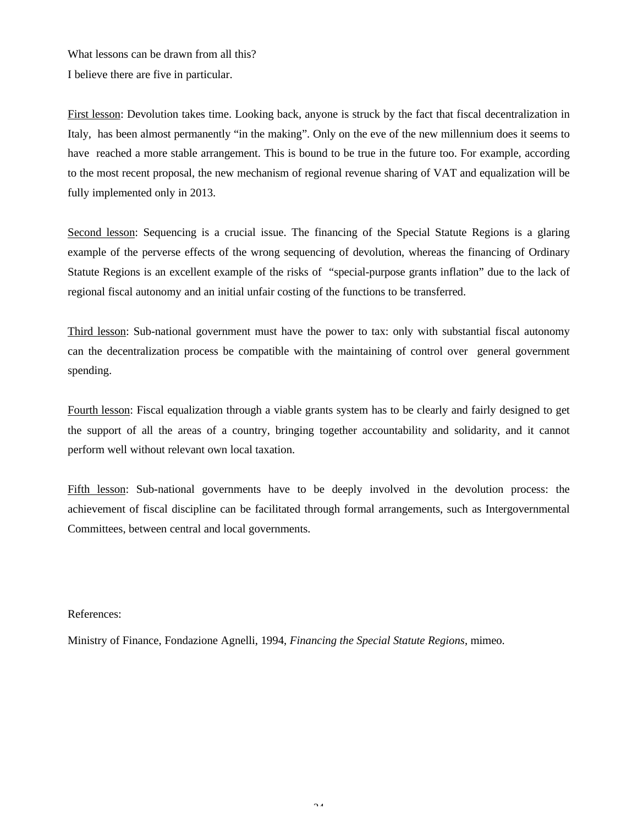What lessons can be drawn from all this? I believe there are five in particular.

First lesson: Devolution takes time. Looking back, anyone is struck by the fact that fiscal decentralization in Italy, has been almost permanently "in the making". Only on the eve of the new millennium does it seems to have reached a more stable arrangement. This is bound to be true in the future too. For example, according to the most recent proposal, the new mechanism of regional revenue sharing of VAT and equalization will be fully implemented only in 2013.

Second lesson: Sequencing is a crucial issue. The financing of the Special Statute Regions is a glaring example of the perverse effects of the wrong sequencing of devolution, whereas the financing of Ordinary Statute Regions is an excellent example of the risks of "special-purpose grants inflation" due to the lack of regional fiscal autonomy and an initial unfair costing of the functions to be transferred.

Third lesson: Sub-national government must have the power to tax: only with substantial fiscal autonomy can the decentralization process be compatible with the maintaining of control over general government spending.

Fourth lesson: Fiscal equalization through a viable grants system has to be clearly and fairly designed to get the support of all the areas of a country, bringing together accountability and solidarity, and it cannot perform well without relevant own local taxation.

Fifth lesson: Sub-national governments have to be deeply involved in the devolution process: the achievement of fiscal discipline can be facilitated through formal arrangements, such as Intergovernmental Committees, between central and local governments.

## References:

Ministry of Finance, Fondazione Agnelli, 1994, *Financing the Special Statute Regions*, mimeo.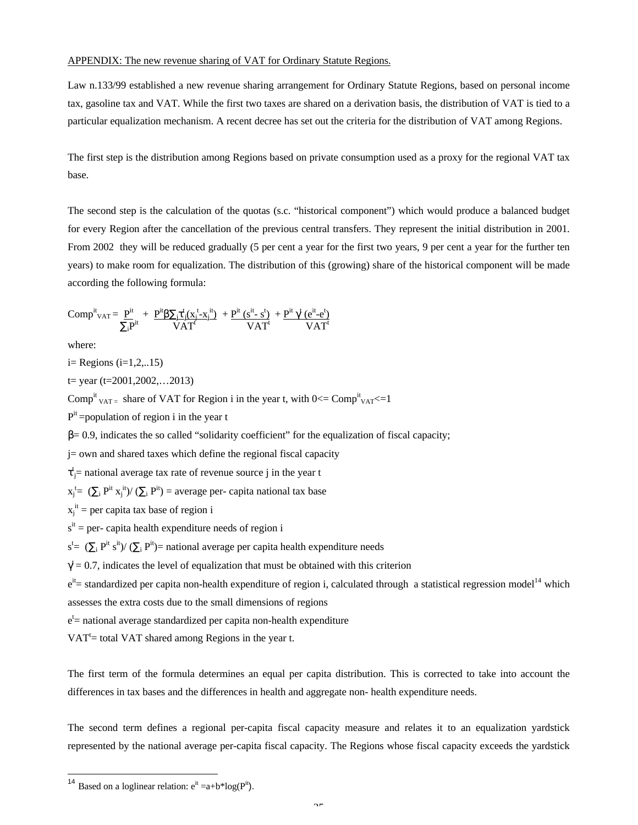#### APPENDIX: The new revenue sharing of VAT for Ordinary Statute Regions.

Law n.133/99 established a new revenue sharing arrangement for Ordinary Statute Regions, based on personal income tax, gasoline tax and VAT. While the first two taxes are shared on a derivation basis, the distribution of VAT is tied to a particular equalization mechanism. A recent decree has set out the criteria for the distribution of VAT among Regions.

The first step is the distribution among Regions based on private consumption used as a proxy for the regional VAT tax base.

The second step is the calculation of the quotas (s.c. "historical component") which would produce a balanced budget for every Region after the cancellation of the previous central transfers. They represent the initial distribution in 2001. From 2002 they will be reduced gradually (5 per cent a year for the first two years, 9 per cent a year for the further ten years) to make room for equalization. The distribution of this (growing) share of the historical component will be made according the following formula:

$$
Comp^{it}_{\textrm{VAT}} = \frac{p^{it}}{\sum_i p^{it}} + \frac{p^{it} \beta \sum_j \tau^t_j (x^t_j - x^{\hspace{1pt}\mathrm{it}})}{\textrm{VAT}^t} + \frac{p^{it} \ (s^{it} - s^t)}{\textrm{VAT}^t} + \frac{p^{it} \ \gamma^t \ (e^{it} - e^t)}{\textrm{VAT}^t}
$$

where:

 $i=$  Regions  $(i=1,2...15)$ 

 $t = year (t=2001, 2002, \ldots, 2013)$ 

Comp<sup>it</sup>  $_{\text{VAT-}}$  share of VAT for Region i in the year t, with 0 <= Comp<sup>it</sup>  $_{\text{VAT}}$  <= 1

 $P^{it}$  =population of region i in the year t

 $β= 0.9$ , indicates the so called "solidarity coefficient" for the equalization of fiscal capacity;

j= own and shared taxes which define the regional fiscal capacity

 $\tau_{j=1}^{t}$  national average tax rate of revenue source j in the year t

 $x_j^t = (\sum_i P^{it} x_j^{it})/(\sum_i P^{it}) = \text{average per}$ - capita national tax base

 $x_j$ <sup>it</sup> = per capita tax base of region i

 $s<sup>it</sup>$  = per- capita health expenditure needs of region i

 $s^t = (\sum_i P^{it} s^{it}) / (\sum_i P^{it})$  = national average per capita health expenditure needs

 $\gamma = 0.7$ , indicates the level of equalization that must be obtained with this criterion

 $e^{it}$  standardized per capita non-health expenditure of region i, calculated through a statistical regression model<sup>14</sup> which assesses the extra costs due to the small dimensions of regions

e<sup>t</sup> = national average standardized per capita non-health expenditure

 $VAT<sup>t</sup>$  = total VAT shared among Regions in the year t.

The first term of the formula determines an equal per capita distribution. This is corrected to take into account the differences in tax bases and the differences in health and aggregate non- health expenditure needs.

The second term defines a regional per-capita fiscal capacity measure and relates it to an equalization yardstick represented by the national average per-capita fiscal capacity. The Regions whose fiscal capacity exceeds the yardstick

 $\overline{a}$ 

<sup>&</sup>lt;sup>14</sup> Based on a loglinear relation:  $e^{it} = a+b^{*}log(P^{it})$ .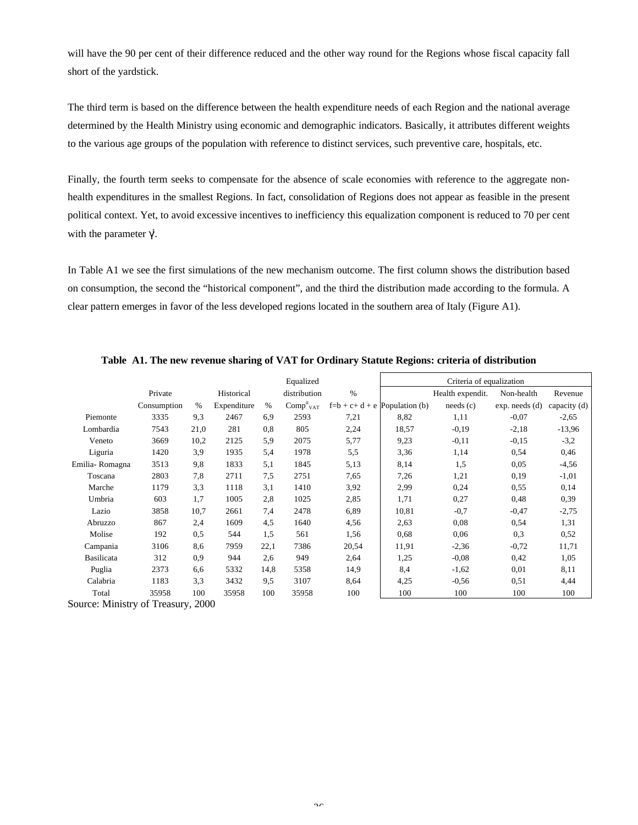will have the 90 per cent of their difference reduced and the other way round for the Regions whose fiscal capacity fall short of the yardstick.

The third term is based on the difference between the health expenditure needs of each Region and the national average determined by the Health Ministry using economic and demographic indicators. Basically, it attributes different weights to the various age groups of the population with reference to distinct services, such preventive care, hospitals, etc.

Finally, the fourth term seeks to compensate for the absence of scale economies with reference to the aggregate nonhealth expenditures in the smallest Regions. In fact, consolidation of Regions does not appear as feasible in the present political context. Yet, to avoid excessive incentives to inefficiency this equalization component is reduced to 70 per cent with the parameter  $\gamma^{\dagger}$ .

In Table A1 we see the first simulations of the new mechanism outcome. The first column shows the distribution based on consumption, the second the "historical component", and the third the distribution made according to the formula. A clear pattern emerges in favor of the less developed regions located in the southern area of Italy (Figure A1).

|                   |             |      |             |      | Equalized                         |                                  |       | Criteria of equalization |                    |              |
|-------------------|-------------|------|-------------|------|-----------------------------------|----------------------------------|-------|--------------------------|--------------------|--------------|
|                   | Private     |      | Historical  |      | distribution                      | $\%$                             |       | Health expendit.         | Non-health         | Revenue      |
|                   | Consumption | $\%$ | Expenditure | $\%$ | Comp <sup>it</sup> <sub>VAT</sub> | $f=b + c + d + e$ Population (b) |       | needs (c)                | $exp.$ needs $(d)$ | capacity (d) |
| Piemonte          | 3335        | 9,3  | 2467        | 6,9  | 2593                              | 7,21                             | 8,82  | 1,11                     | $-0,07$            | $-2,65$      |
| Lombardia         | 7543        | 21,0 | 281         | 0,8  | 805                               | 2,24                             | 18,57 | $-0.19$                  | $-2,18$            | $-13,96$     |
| Veneto            | 3669        | 10,2 | 2125        | 5,9  | 2075                              | 5,77                             | 9.23  | $-0.11$                  | $-0.15$            | $-3,2$       |
| Liguria           | 1420        | 3,9  | 1935        | 5,4  | 1978                              | 5,5                              | 3,36  | 1,14                     | 0,54               | 0,46         |
| Emilia-Romagna    | 3513        | 9,8  | 1833        | 5,1  | 1845                              | 5,13                             | 8,14  | 1,5                      | 0,05               | $-4,56$      |
| Toscana           | 2803        | 7,8  | 2711        | 7,5  | 2751                              | 7,65                             | 7,26  | 1,21                     | 0,19               | $-1,01$      |
| Marche            | 1179        | 3,3  | 1118        | 3,1  | 1410                              | 3,92                             | 2,99  | 0,24                     | 0,55               | 0,14         |
| Umbria            | 603         | 1,7  | 1005        | 2,8  | 1025                              | 2,85                             | 1,71  | 0,27                     | 0,48               | 0,39         |
| Lazio             | 3858        | 10,7 | 2661        | 7,4  | 2478                              | 6,89                             | 10,81 | $-0,7$                   | $-0,47$            | $-2,75$      |
| Abruzzo           | 867         | 2,4  | 1609        | 4,5  | 1640                              | 4,56                             | 2,63  | 0,08                     | 0,54               | 1,31         |
| Molise            | 192         | 0,5  | 544         | 1,5  | 561                               | 1,56                             | 0.68  | 0,06                     | 0,3                | 0,52         |
| Campania          | 3106        | 8,6  | 7959        | 22,1 | 7386                              | 20,54                            | 11,91 | $-2,36$                  | $-0,72$            | 11,71        |
| <b>Basilicata</b> | 312         | 0.9  | 944         | 2,6  | 949                               | 2,64                             | 1,25  | $-0.08$                  | 0,42               | 1,05         |
| Puglia            | 2373        | 6,6  | 5332        | 14,8 | 5358                              | 14,9                             | 8,4   | $-1,62$                  | 0,01               | 8,11         |
| Calabria          | 1183        | 3,3  | 3432        | 9,5  | 3107                              | 8,64                             | 4,25  | $-0,56$                  | 0,51               | 4,44         |
| Total             | 35958       | 100  | 35958       | 100  | 35958                             | 100                              | 100   | 100                      | 100                | 100          |

**Table A1. The new revenue sharing of VAT for Ordinary Statute Regions: criteria of distribution**

Source: Ministry of Treasury, 2000